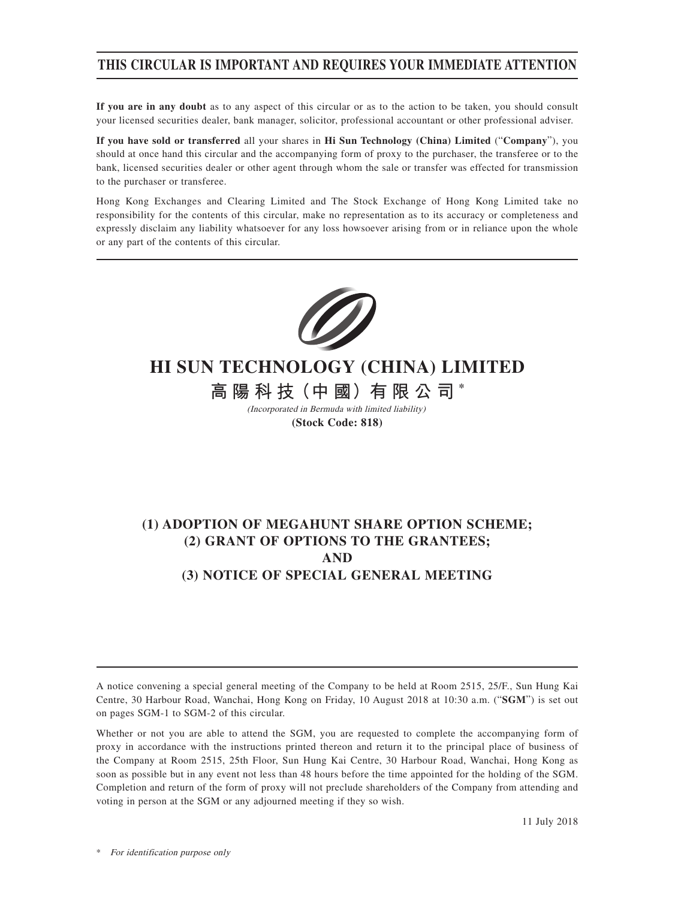## **THIS CIRCULAR IS IMPORTANT AND REQUIRES YOUR IMMEDIATE ATTENTION**

**If you are in any doubt** as to any aspect of this circular or as to the action to be taken, you should consult your licensed securities dealer, bank manager, solicitor, professional accountant or other professional adviser.

**If you have sold or transferred** all your shares in **Hi Sun Technology (China) Limited** ("**Company**"), you should at once hand this circular and the accompanying form of proxy to the purchaser, the transferee or to the bank, licensed securities dealer or other agent through whom the sale or transfer was effected for transmission to the purchaser or transferee.

Hong Kong Exchanges and Clearing Limited and The Stock Exchange of Hong Kong Limited take no responsibility for the contents of this circular, make no representation as to its accuracy or completeness and expressly disclaim any liability whatsoever for any loss howsoever arising from or in reliance upon the whole or any part of the contents of this circular.



# **HI SUN TECHNOLOGY (CHINA) LIMITED**

**高 陽 科 技(中 國)有 限 公 司 \*** (Incorporated in Bermuda with limited liability)

**(Stock Code: 818)**

# **(1) ADOPTION OF MEGAHUNT SHARE OPTION SCHEME; (2) GRANT OF OPTIONS TO THE GRANTEES; AND (3) NOTICE OF SPECIAL GENERAL MEETING**

A notice convening a special general meeting of the Company to be held at Room 2515, 25/F., Sun Hung Kai Centre, 30 Harbour Road, Wanchai, Hong Kong on Friday, 10 August 2018 at 10:30 a.m. ("**SGM**") is set out on pages SGM-1 to SGM-2 of this circular.

Whether or not you are able to attend the SGM, you are requested to complete the accompanying form of proxy in accordance with the instructions printed thereon and return it to the principal place of business of the Company at Room 2515, 25th Floor, Sun Hung Kai Centre, 30 Harbour Road, Wanchai, Hong Kong as soon as possible but in any event not less than 48 hours before the time appointed for the holding of the SGM. Completion and return of the form of proxy will not preclude shareholders of the Company from attending and voting in person at the SGM or any adjourned meeting if they so wish.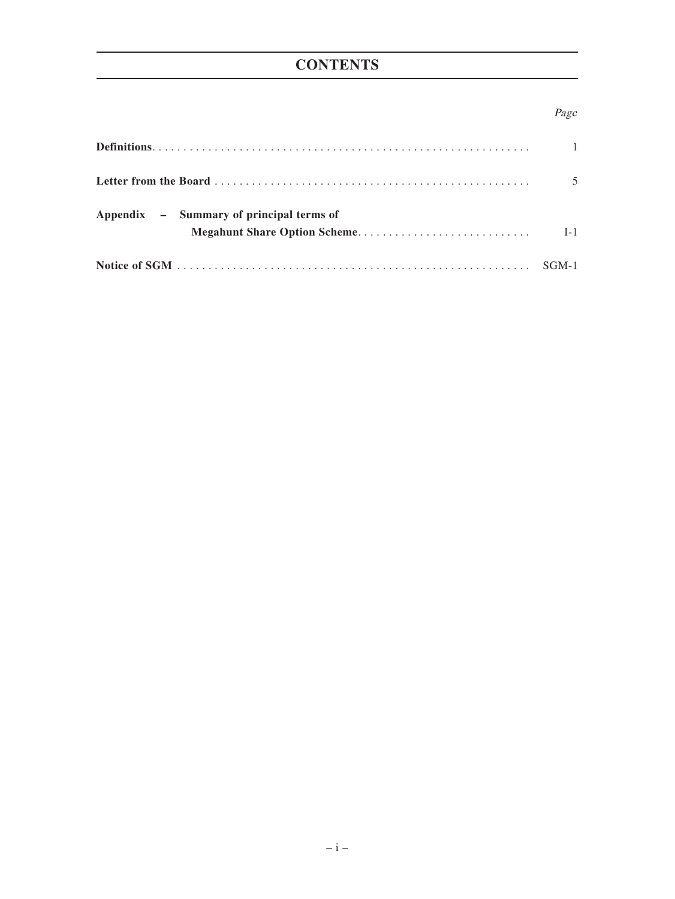# **CONTENTS**

## Page

|                                          | $\overline{1}$ |
|------------------------------------------|----------------|
|                                          | 5              |
| Appendix – Summary of principal terms of | $I-1$          |
|                                          |                |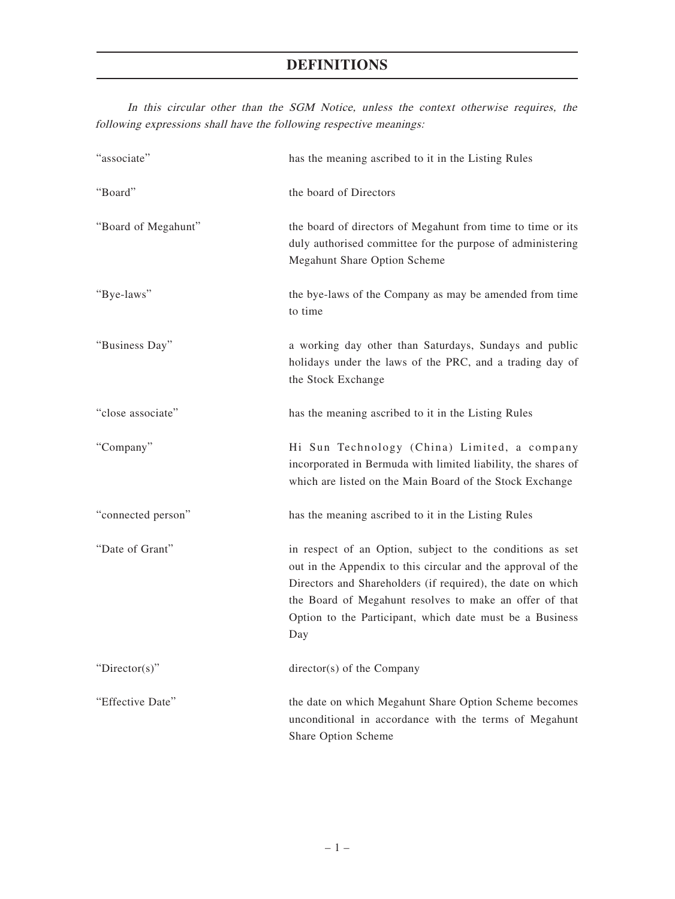In this circular other than the SGM Notice, unless the context otherwise requires, the following expressions shall have the following respective meanings:

| "associate"         | has the meaning ascribed to it in the Listing Rules                                                                                                                                                                                                                                                                    |  |  |
|---------------------|------------------------------------------------------------------------------------------------------------------------------------------------------------------------------------------------------------------------------------------------------------------------------------------------------------------------|--|--|
| "Board"             | the board of Directors                                                                                                                                                                                                                                                                                                 |  |  |
| "Board of Megahunt" | the board of directors of Megahunt from time to time or its<br>duly authorised committee for the purpose of administering<br>Megahunt Share Option Scheme                                                                                                                                                              |  |  |
| "Bye-laws"          | the bye-laws of the Company as may be amended from time<br>to time                                                                                                                                                                                                                                                     |  |  |
| "Business Day"      | a working day other than Saturdays, Sundays and public<br>holidays under the laws of the PRC, and a trading day of<br>the Stock Exchange                                                                                                                                                                               |  |  |
| "close associate"   | has the meaning ascribed to it in the Listing Rules                                                                                                                                                                                                                                                                    |  |  |
| "Company"           | Hi Sun Technology (China) Limited, a company<br>incorporated in Bermuda with limited liability, the shares of<br>which are listed on the Main Board of the Stock Exchange                                                                                                                                              |  |  |
| "connected person"  | has the meaning ascribed to it in the Listing Rules                                                                                                                                                                                                                                                                    |  |  |
| "Date of Grant"     | in respect of an Option, subject to the conditions as set<br>out in the Appendix to this circular and the approval of the<br>Directors and Shareholders (if required), the date on which<br>the Board of Megahunt resolves to make an offer of that<br>Option to the Participant, which date must be a Business<br>Day |  |  |
| "Director(s)"       | director(s) of the Company                                                                                                                                                                                                                                                                                             |  |  |
| "Effective Date"    | the date on which Megahunt Share Option Scheme becomes<br>unconditional in accordance with the terms of Megahunt<br>Share Option Scheme                                                                                                                                                                                |  |  |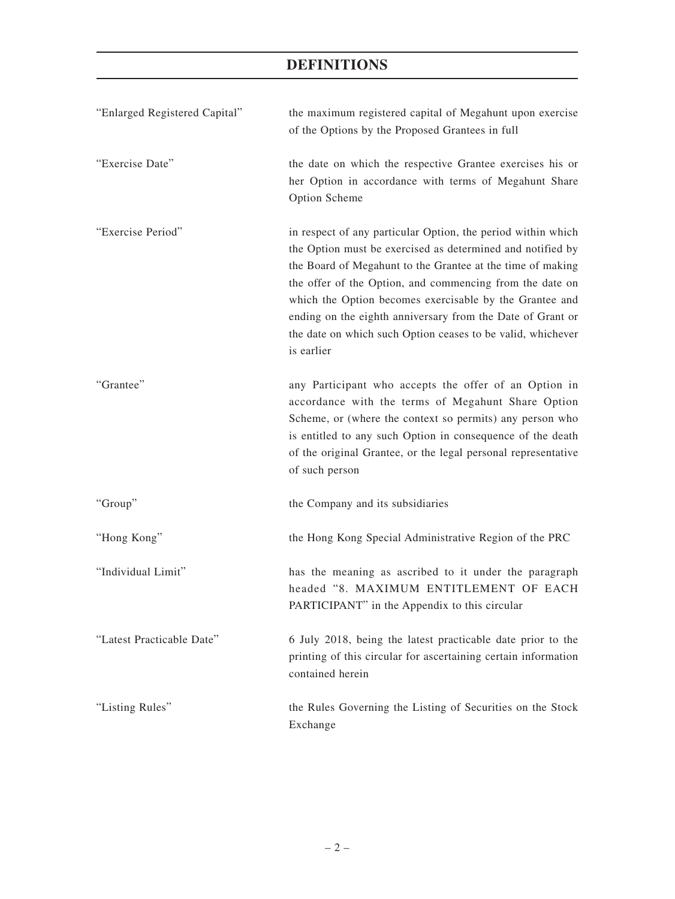| "Enlarged Registered Capital" | the maximum registered capital of Megahunt upon exercise<br>of the Options by the Proposed Grantees in full                                                                                                                                                                                                                                                                                                                                                |
|-------------------------------|------------------------------------------------------------------------------------------------------------------------------------------------------------------------------------------------------------------------------------------------------------------------------------------------------------------------------------------------------------------------------------------------------------------------------------------------------------|
| "Exercise Date"               | the date on which the respective Grantee exercises his or<br>her Option in accordance with terms of Megahunt Share<br>Option Scheme                                                                                                                                                                                                                                                                                                                        |
| "Exercise Period"             | in respect of any particular Option, the period within which<br>the Option must be exercised as determined and notified by<br>the Board of Megahunt to the Grantee at the time of making<br>the offer of the Option, and commencing from the date on<br>which the Option becomes exercisable by the Grantee and<br>ending on the eighth anniversary from the Date of Grant or<br>the date on which such Option ceases to be valid, whichever<br>is earlier |
| "Grantee"                     | any Participant who accepts the offer of an Option in<br>accordance with the terms of Megahunt Share Option<br>Scheme, or (where the context so permits) any person who<br>is entitled to any such Option in consequence of the death<br>of the original Grantee, or the legal personal representative<br>of such person                                                                                                                                   |
| "Group"                       | the Company and its subsidiaries                                                                                                                                                                                                                                                                                                                                                                                                                           |
| "Hong Kong"                   | the Hong Kong Special Administrative Region of the PRC                                                                                                                                                                                                                                                                                                                                                                                                     |
| "Individual Limit"            | has the meaning as ascribed to it under the paragraph<br>headed "8. MAXIMUM ENTITLEMENT OF EACH<br>PARTICIPANT" in the Appendix to this circular                                                                                                                                                                                                                                                                                                           |
| "Latest Practicable Date"     | 6 July 2018, being the latest practicable date prior to the<br>printing of this circular for ascertaining certain information<br>contained herein                                                                                                                                                                                                                                                                                                          |
| "Listing Rules"               | the Rules Governing the Listing of Securities on the Stock<br>Exchange                                                                                                                                                                                                                                                                                                                                                                                     |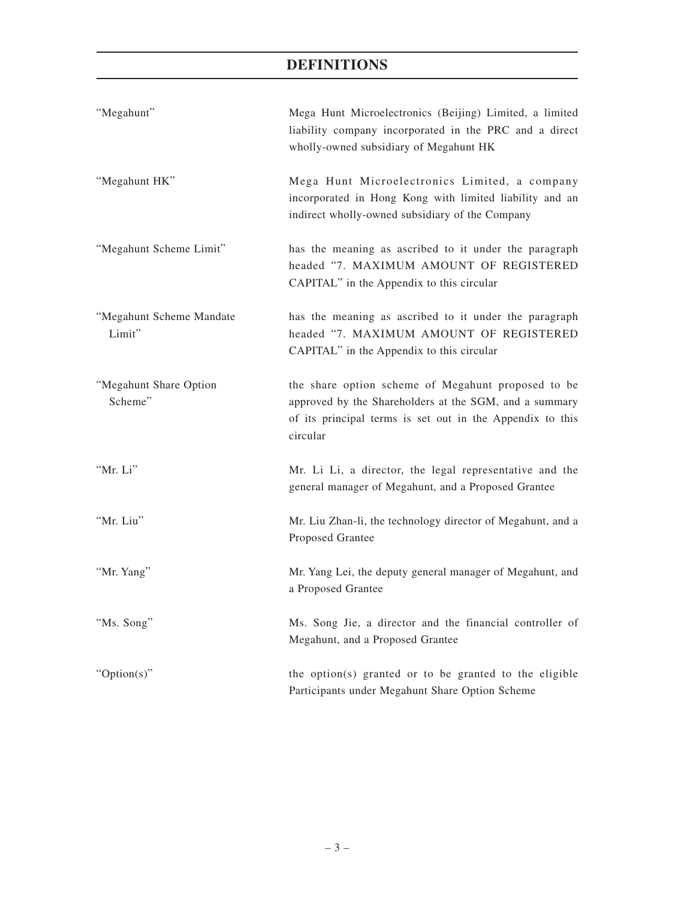| "Megahunt"                         | Mega Hunt Microelectronics (Beijing) Limited, a limited<br>liability company incorporated in the PRC and a direct<br>wholly-owned subsidiary of Megahunt HK                           |
|------------------------------------|---------------------------------------------------------------------------------------------------------------------------------------------------------------------------------------|
| "Megahunt HK"                      | Mega Hunt Microelectronics Limited, a company<br>incorporated in Hong Kong with limited liability and an<br>indirect wholly-owned subsidiary of the Company                           |
| "Megahunt Scheme Limit"            | has the meaning as ascribed to it under the paragraph<br>headed "7. MAXIMUM AMOUNT OF REGISTERED<br>CAPITAL" in the Appendix to this circular                                         |
| "Megahunt Scheme Mandate<br>Limit" | has the meaning as ascribed to it under the paragraph<br>headed "7. MAXIMUM AMOUNT OF REGISTERED<br>CAPITAL" in the Appendix to this circular                                         |
| "Megahunt Share Option<br>Scheme"  | the share option scheme of Megahunt proposed to be<br>approved by the Shareholders at the SGM, and a summary<br>of its principal terms is set out in the Appendix to this<br>circular |
| "Mr. Li"                           | Mr. Li Li, a director, the legal representative and the<br>general manager of Megahunt, and a Proposed Grantee                                                                        |
| "Mr. Liu"                          | Mr. Liu Zhan-li, the technology director of Megahunt, and a<br>Proposed Grantee                                                                                                       |
| "Mr. Yang"                         | Mr. Yang Lei, the deputy general manager of Megahunt, and<br>a Proposed Grantee                                                                                                       |
| "Ms. Song"                         | Ms. Song Jie, a director and the financial controller of<br>Megahunt, and a Proposed Grantee                                                                                          |
| "Option(s)"                        | the option(s) granted or to be granted to the eligible<br>Participants under Megahunt Share Option Scheme                                                                             |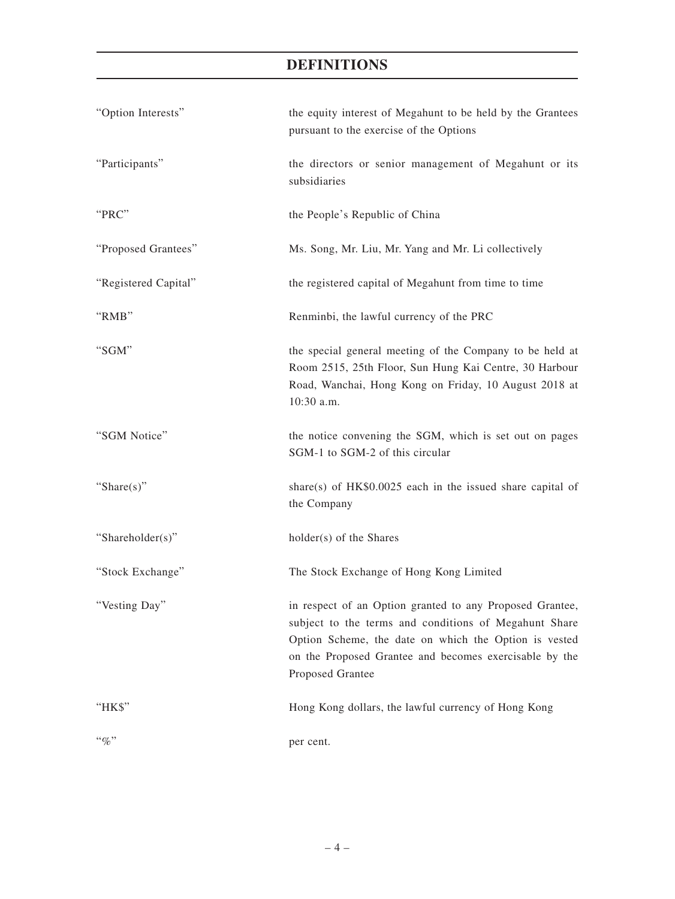| "Option Interests"   | the equity interest of Megahunt to be held by the Grantees<br>pursuant to the exercise of the Options                                                                                                                                                    |  |
|----------------------|----------------------------------------------------------------------------------------------------------------------------------------------------------------------------------------------------------------------------------------------------------|--|
| "Participants"       | the directors or senior management of Megahunt or its<br>subsidiaries                                                                                                                                                                                    |  |
| "PRC"                | the People's Republic of China                                                                                                                                                                                                                           |  |
| "Proposed Grantees"  | Ms. Song, Mr. Liu, Mr. Yang and Mr. Li collectively                                                                                                                                                                                                      |  |
| "Registered Capital" | the registered capital of Megahunt from time to time                                                                                                                                                                                                     |  |
| "RMB"                | Renminbi, the lawful currency of the PRC                                                                                                                                                                                                                 |  |
| "SGM"                | the special general meeting of the Company to be held at<br>Room 2515, 25th Floor, Sun Hung Kai Centre, 30 Harbour<br>Road, Wanchai, Hong Kong on Friday, 10 August 2018 at<br>10:30 a.m.                                                                |  |
| "SGM Notice"         | the notice convening the SGM, which is set out on pages<br>SGM-1 to SGM-2 of this circular                                                                                                                                                               |  |
| "Share $(s)$ "       | share(s) of $HK$0.0025$ each in the issued share capital of<br>the Company                                                                                                                                                                               |  |
| "Shareholder(s)"     | holder(s) of the Shares                                                                                                                                                                                                                                  |  |
| "Stock Exchange"     | The Stock Exchange of Hong Kong Limited                                                                                                                                                                                                                  |  |
| "Vesting Day"        | in respect of an Option granted to any Proposed Grantee,<br>subject to the terms and conditions of Megahunt Share<br>Option Scheme, the date on which the Option is vested<br>on the Proposed Grantee and becomes exercisable by the<br>Proposed Grantee |  |
| "HK\$"               | Hong Kong dollars, the lawful currency of Hong Kong                                                                                                                                                                                                      |  |
| $``\%"$              | per cent.                                                                                                                                                                                                                                                |  |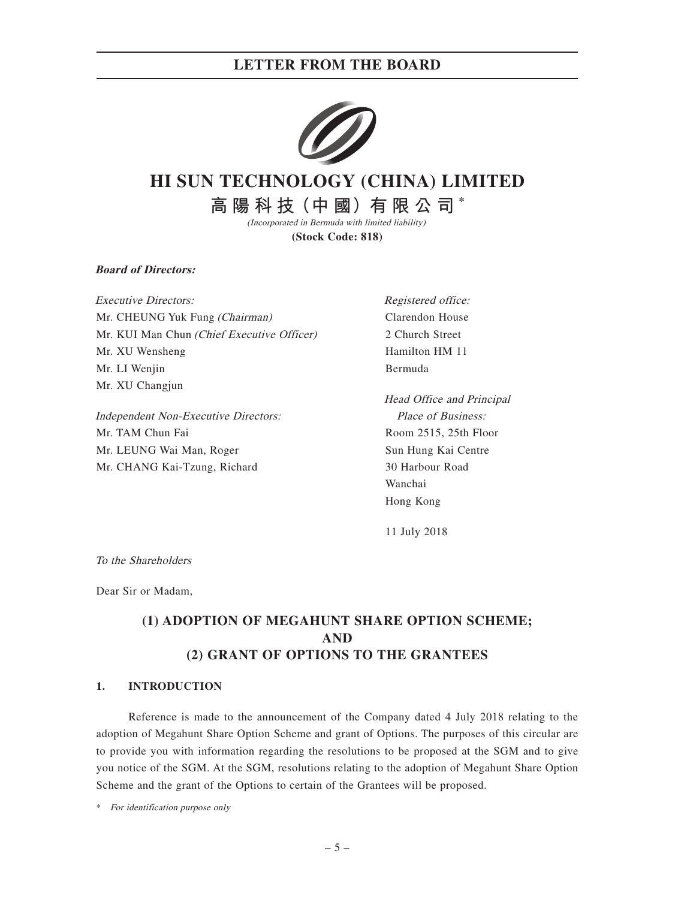

# **HI SUN TECHNOLOGY (CHINA) LIMITED**

**高 陽 科 技(中 國)有 限 公 司 \*** (Incorporated in Bermuda with limited liability)

**(Stock Code: 818)**

**Board of Directors:**

Executive Directors: Mr. CHEUNG Yuk Fung (Chairman) Mr. KUI Man Chun (Chief Executive Officer) Mr. XU Wensheng Mr. LI Wenjin Mr. XU Changjun

Independent Non-Executive Directors: Mr. TAM Chun Fai Mr. LEUNG Wai Man, Roger Mr. CHANG Kai-Tzung, Richard

Registered office: Clarendon House 2 Church Street Hamilton HM 11 Bermuda

Head Office and Principal Place of Business: Room 2515, 25th Floor Sun Hung Kai Centre 30 Harbour Road Wanchai Hong Kong

11 July 2018

To the Shareholders

Dear Sir or Madam,

## **(1) ADOPTION OF MEGAHUNT SHARE OPTION SCHEME; AND (2) GRANT OF OPTIONS TO THE GRANTEES**

#### **1. INTRODUCTION**

Reference is made to the announcement of the Company dated 4 July 2018 relating to the adoption of Megahunt Share Option Scheme and grant of Options. The purposes of this circular are to provide you with information regarding the resolutions to be proposed at the SGM and to give you notice of the SGM. At the SGM, resolutions relating to the adoption of Megahunt Share Option Scheme and the grant of the Options to certain of the Grantees will be proposed.

\* For identification purpose only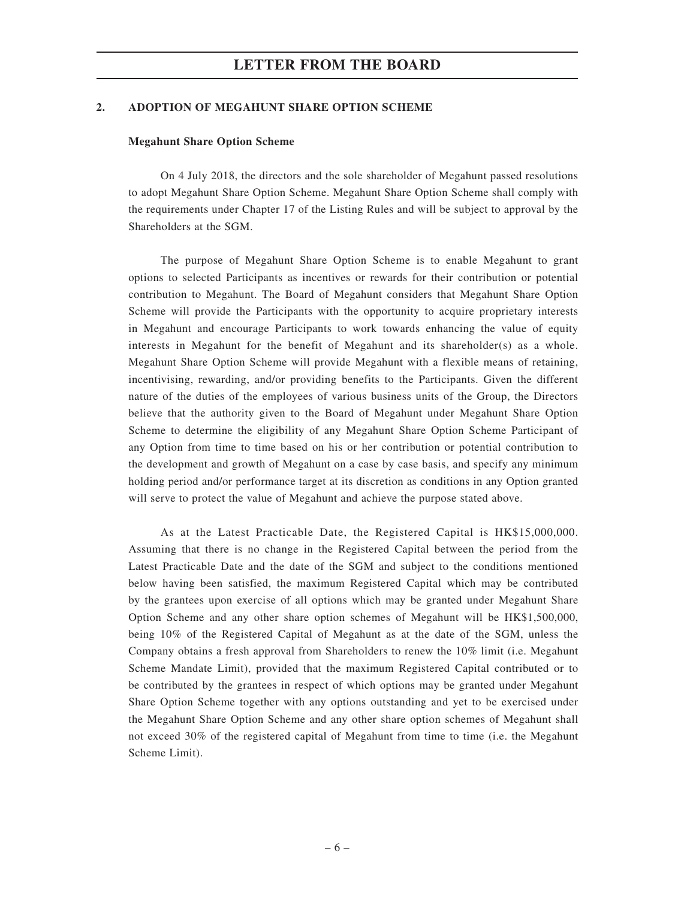#### **2. ADOPTION OF MEGAHUNT SHARE OPTION SCHEME**

#### **Megahunt Share Option Scheme**

On 4 July 2018, the directors and the sole shareholder of Megahunt passed resolutions to adopt Megahunt Share Option Scheme. Megahunt Share Option Scheme shall comply with the requirements under Chapter 17 of the Listing Rules and will be subject to approval by the Shareholders at the SGM.

The purpose of Megahunt Share Option Scheme is to enable Megahunt to grant options to selected Participants as incentives or rewards for their contribution or potential contribution to Megahunt. The Board of Megahunt considers that Megahunt Share Option Scheme will provide the Participants with the opportunity to acquire proprietary interests in Megahunt and encourage Participants to work towards enhancing the value of equity interests in Megahunt for the benefit of Megahunt and its shareholder(s) as a whole. Megahunt Share Option Scheme will provide Megahunt with a flexible means of retaining, incentivising, rewarding, and/or providing benefits to the Participants. Given the different nature of the duties of the employees of various business units of the Group, the Directors believe that the authority given to the Board of Megahunt under Megahunt Share Option Scheme to determine the eligibility of any Megahunt Share Option Scheme Participant of any Option from time to time based on his or her contribution or potential contribution to the development and growth of Megahunt on a case by case basis, and specify any minimum holding period and/or performance target at its discretion as conditions in any Option granted will serve to protect the value of Megahunt and achieve the purpose stated above.

As at the Latest Practicable Date, the Registered Capital is HK\$15,000,000. Assuming that there is no change in the Registered Capital between the period from the Latest Practicable Date and the date of the SGM and subject to the conditions mentioned below having been satisfied, the maximum Registered Capital which may be contributed by the grantees upon exercise of all options which may be granted under Megahunt Share Option Scheme and any other share option schemes of Megahunt will be HK\$1,500,000, being 10% of the Registered Capital of Megahunt as at the date of the SGM, unless the Company obtains a fresh approval from Shareholders to renew the 10% limit (i.e. Megahunt Scheme Mandate Limit), provided that the maximum Registered Capital contributed or to be contributed by the grantees in respect of which options may be granted under Megahunt Share Option Scheme together with any options outstanding and yet to be exercised under the Megahunt Share Option Scheme and any other share option schemes of Megahunt shall not exceed 30% of the registered capital of Megahunt from time to time (i.e. the Megahunt Scheme Limit).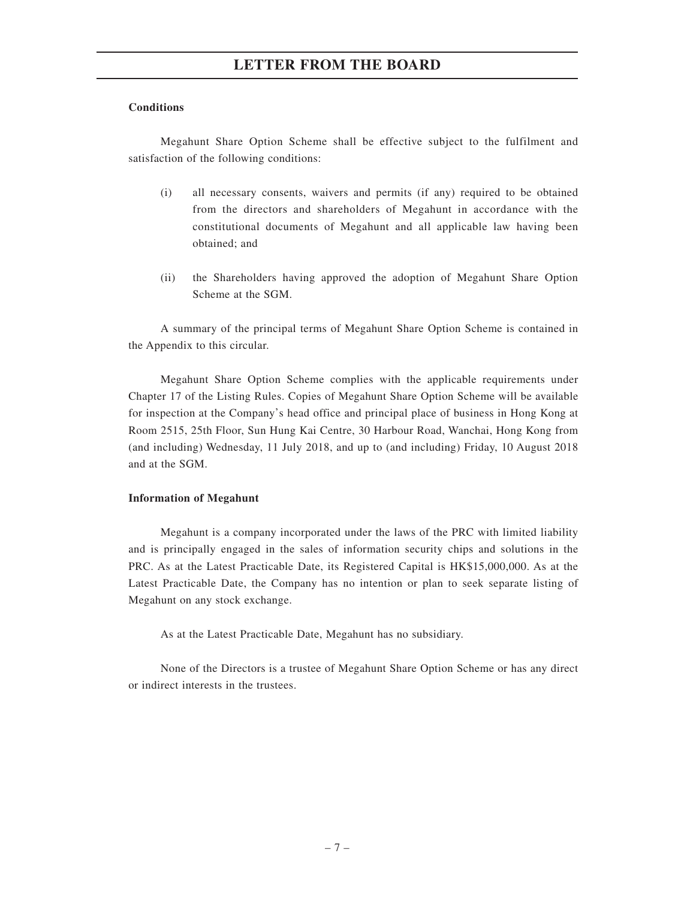### **Conditions**

Megahunt Share Option Scheme shall be effective subject to the fulfilment and satisfaction of the following conditions:

- (i) all necessary consents, waivers and permits (if any) required to be obtained from the directors and shareholders of Megahunt in accordance with the constitutional documents of Megahunt and all applicable law having been obtained; and
- (ii) the Shareholders having approved the adoption of Megahunt Share Option Scheme at the SGM.

A summary of the principal terms of Megahunt Share Option Scheme is contained in the Appendix to this circular.

Megahunt Share Option Scheme complies with the applicable requirements under Chapter 17 of the Listing Rules. Copies of Megahunt Share Option Scheme will be available for inspection at the Company's head office and principal place of business in Hong Kong at Room 2515, 25th Floor, Sun Hung Kai Centre, 30 Harbour Road, Wanchai, Hong Kong from (and including) Wednesday, 11 July 2018, and up to (and including) Friday, 10 August 2018 and at the SGM.

### **Information of Megahunt**

Megahunt is a company incorporated under the laws of the PRC with limited liability and is principally engaged in the sales of information security chips and solutions in the PRC. As at the Latest Practicable Date, its Registered Capital is HK\$15,000,000. As at the Latest Practicable Date, the Company has no intention or plan to seek separate listing of Megahunt on any stock exchange.

As at the Latest Practicable Date, Megahunt has no subsidiary.

None of the Directors is a trustee of Megahunt Share Option Scheme or has any direct or indirect interests in the trustees.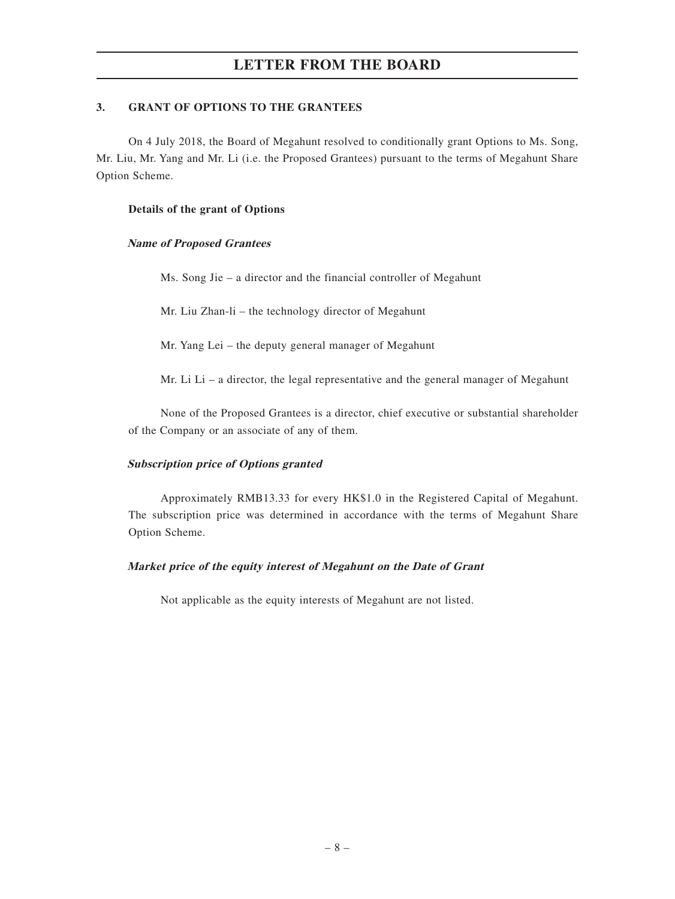### **3. GRANT OF OPTIONS TO THE GRANTEES**

On 4 July 2018, the Board of Megahunt resolved to conditionally grant Options to Ms. Song, Mr. Liu, Mr. Yang and Mr. Li (i.e. the Proposed Grantees) pursuant to the terms of Megahunt Share Option Scheme.

#### **Details of the grant of Options**

#### **Name of Proposed Grantees**

Ms. Song Jie – a director and the financial controller of Megahunt

Mr. Liu Zhan-li – the technology director of Megahunt

Mr. Yang Lei – the deputy general manager of Megahunt

Mr. Li  $Li - a$  director, the legal representative and the general manager of Megahunt

None of the Proposed Grantees is a director, chief executive or substantial shareholder of the Company or an associate of any of them.

### **Subscription price of Options granted**

Approximately RMB13.33 for every HK\$1.0 in the Registered Capital of Megahunt. The subscription price was determined in accordance with the terms of Megahunt Share Option Scheme.

### **Market price of the equity interest of Megahunt on the Date of Grant**

Not applicable as the equity interests of Megahunt are not listed.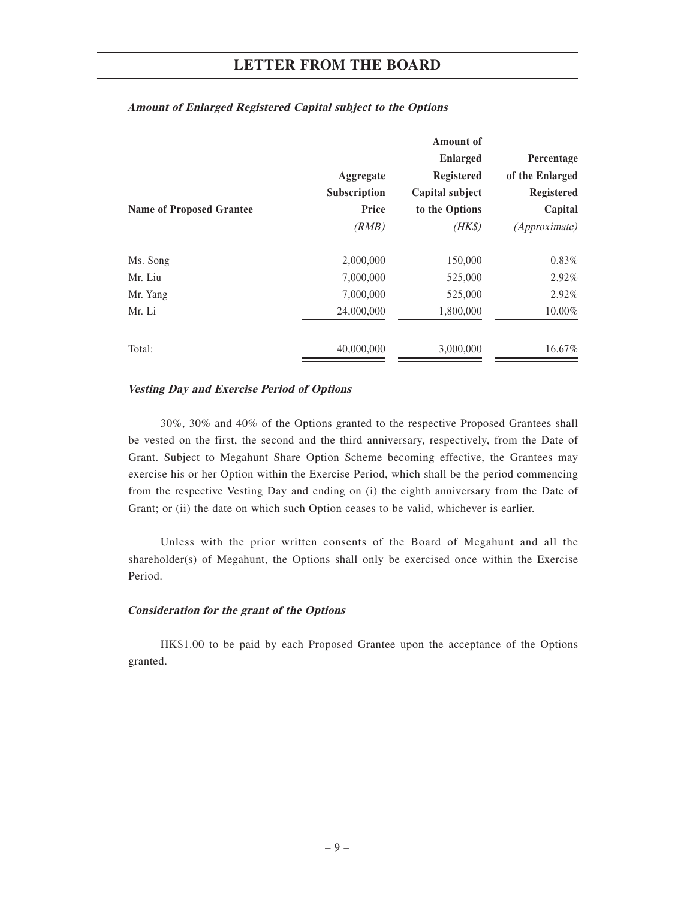|                                 |              | <b>Enlarged</b>   | Percentage           |
|---------------------------------|--------------|-------------------|----------------------|
|                                 | Aggregate    | <b>Registered</b> | of the Enlarged      |
|                                 | Subscription | Capital subject   | <b>Registered</b>    |
| <b>Name of Proposed Grantee</b> | Price        | to the Options    | Capital              |
|                                 | (RMB)        | $(HK\$            | <i>(Approximate)</i> |
| Ms. Song                        | 2,000,000    | 150,000           | $0.83\%$             |
| Mr. Liu                         | 7,000,000    | 525,000           | $2.92\%$             |
| Mr. Yang                        | 7,000,000    | 525,000           | 2.92%                |
| Mr. Li                          | 24,000,000   | 1,800,000         | 10.00%               |
| Total:                          | 40,000,000   | 3,000,000         | 16.67%               |

#### **Amount of Enlarged Registered Capital subject to the Options**

#### **Vesting Day and Exercise Period of Options**

30%, 30% and 40% of the Options granted to the respective Proposed Grantees shall be vested on the first, the second and the third anniversary, respectively, from the Date of Grant. Subject to Megahunt Share Option Scheme becoming effective, the Grantees may exercise his or her Option within the Exercise Period, which shall be the period commencing from the respective Vesting Day and ending on (i) the eighth anniversary from the Date of Grant; or (ii) the date on which such Option ceases to be valid, whichever is earlier.

Unless with the prior written consents of the Board of Megahunt and all the shareholder(s) of Megahunt, the Options shall only be exercised once within the Exercise Period.

#### **Consideration for the grant of the Options**

HK\$1.00 to be paid by each Proposed Grantee upon the acceptance of the Options granted.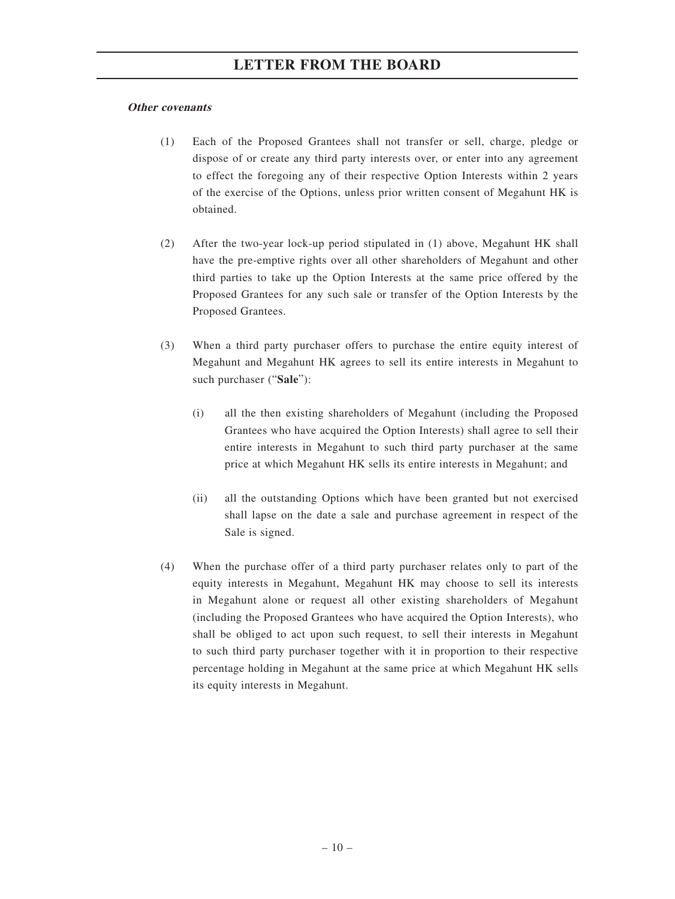### **Other covenants**

- (1) Each of the Proposed Grantees shall not transfer or sell, charge, pledge or dispose of or create any third party interests over, or enter into any agreement to effect the foregoing any of their respective Option Interests within 2 years of the exercise of the Options, unless prior written consent of Megahunt HK is obtained.
- (2) After the two-year lock-up period stipulated in (1) above, Megahunt HK shall have the pre-emptive rights over all other shareholders of Megahunt and other third parties to take up the Option Interests at the same price offered by the Proposed Grantees for any such sale or transfer of the Option Interests by the Proposed Grantees.
- (3) When a third party purchaser offers to purchase the entire equity interest of Megahunt and Megahunt HK agrees to sell its entire interests in Megahunt to such purchaser ("**Sale**"):
	- (i) all the then existing shareholders of Megahunt (including the Proposed Grantees who have acquired the Option Interests) shall agree to sell their entire interests in Megahunt to such third party purchaser at the same price at which Megahunt HK sells its entire interests in Megahunt; and
	- (ii) all the outstanding Options which have been granted but not exercised shall lapse on the date a sale and purchase agreement in respect of the Sale is signed.
- (4) When the purchase offer of a third party purchaser relates only to part of the equity interests in Megahunt, Megahunt HK may choose to sell its interests in Megahunt alone or request all other existing shareholders of Megahunt (including the Proposed Grantees who have acquired the Option Interests), who shall be obliged to act upon such request, to sell their interests in Megahunt to such third party purchaser together with it in proportion to their respective percentage holding in Megahunt at the same price at which Megahunt HK sells its equity interests in Megahunt.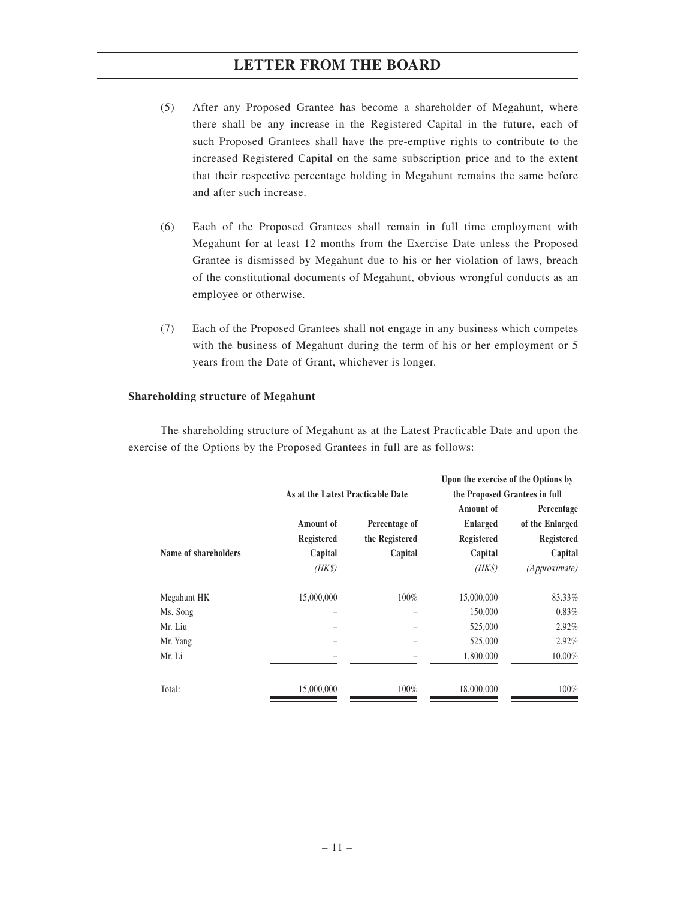- (5) After any Proposed Grantee has become a shareholder of Megahunt, where there shall be any increase in the Registered Capital in the future, each of such Proposed Grantees shall have the pre-emptive rights to contribute to the increased Registered Capital on the same subscription price and to the extent that their respective percentage holding in Megahunt remains the same before and after such increase.
- (6) Each of the Proposed Grantees shall remain in full time employment with Megahunt for at least 12 months from the Exercise Date unless the Proposed Grantee is dismissed by Megahunt due to his or her violation of laws, breach of the constitutional documents of Megahunt, obvious wrongful conducts as an employee or otherwise.
- (7) Each of the Proposed Grantees shall not engage in any business which competes with the business of Megahunt during the term of his or her employment or 5 years from the Date of Grant, whichever is longer.

### **Shareholding structure of Megahunt**

The shareholding structure of Megahunt as at the Latest Practicable Date and upon the exercise of the Options by the Proposed Grantees in full are as follows:

|                      |                                   |                | Upon the exercise of the Options by |                      |
|----------------------|-----------------------------------|----------------|-------------------------------------|----------------------|
|                      | As at the Latest Practicable Date |                | the Proposed Grantees in full       |                      |
|                      |                                   |                | Amount of                           | Percentage           |
|                      | Amount of                         | Percentage of  | <b>Enlarged</b>                     | of the Enlarged      |
|                      | Registered                        | the Registered | Registered                          | Registered           |
| Name of shareholders | Capital                           | Capital        | Capital                             | Capital              |
|                      | (HKS)                             |                | (HKS)                               | <i>(Approximate)</i> |
| Megahunt HK          | 15,000,000                        | 100%           | 15,000,000                          | 83.33%               |
| Ms. Song             |                                   |                | 150,000                             | 0.83%                |
| Mr. Liu              |                                   |                | 525,000                             | 2.92%                |
| Mr. Yang             |                                   |                | 525,000                             | 2.92%                |
| Mr. Li               |                                   |                | 1,800,000                           | 10.00%               |
| Total:               | 15,000,000                        | 100%           | 18,000,000                          | 100%                 |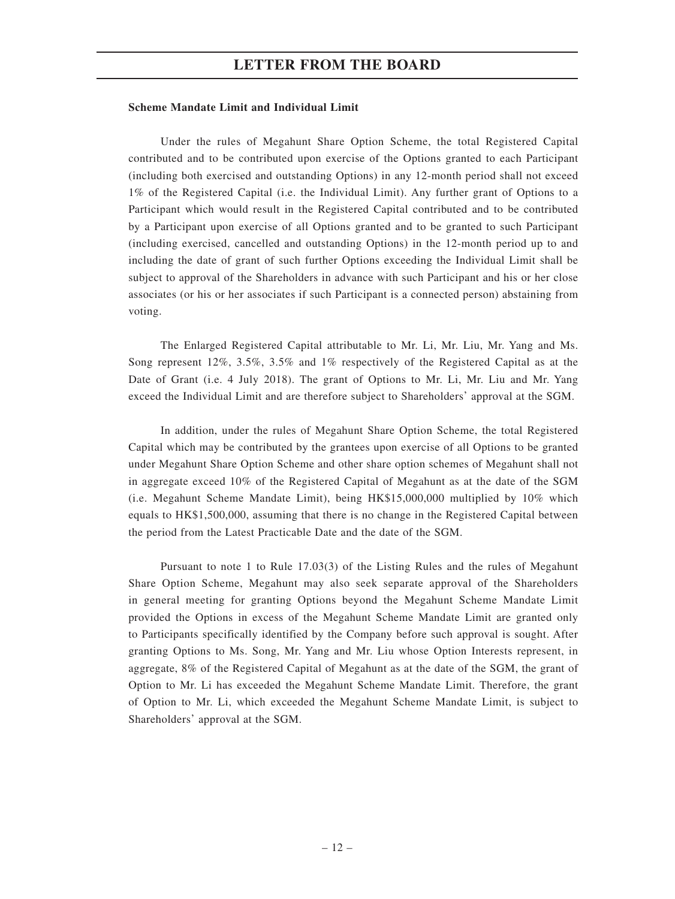#### **Scheme Mandate Limit and Individual Limit**

Under the rules of Megahunt Share Option Scheme, the total Registered Capital contributed and to be contributed upon exercise of the Options granted to each Participant (including both exercised and outstanding Options) in any 12-month period shall not exceed 1% of the Registered Capital (i.e. the Individual Limit). Any further grant of Options to a Participant which would result in the Registered Capital contributed and to be contributed by a Participant upon exercise of all Options granted and to be granted to such Participant (including exercised, cancelled and outstanding Options) in the 12-month period up to and including the date of grant of such further Options exceeding the Individual Limit shall be subject to approval of the Shareholders in advance with such Participant and his or her close associates (or his or her associates if such Participant is a connected person) abstaining from voting.

The Enlarged Registered Capital attributable to Mr. Li, Mr. Liu, Mr. Yang and Ms. Song represent 12%, 3.5%, 3.5% and 1% respectively of the Registered Capital as at the Date of Grant (i.e. 4 July 2018). The grant of Options to Mr. Li, Mr. Liu and Mr. Yang exceed the Individual Limit and are therefore subject to Shareholders' approval at the SGM.

In addition, under the rules of Megahunt Share Option Scheme, the total Registered Capital which may be contributed by the grantees upon exercise of all Options to be granted under Megahunt Share Option Scheme and other share option schemes of Megahunt shall not in aggregate exceed 10% of the Registered Capital of Megahunt as at the date of the SGM (i.e. Megahunt Scheme Mandate Limit), being HK\$15,000,000 multiplied by 10% which equals to HK\$1,500,000, assuming that there is no change in the Registered Capital between the period from the Latest Practicable Date and the date of the SGM.

Pursuant to note 1 to Rule 17.03(3) of the Listing Rules and the rules of Megahunt Share Option Scheme, Megahunt may also seek separate approval of the Shareholders in general meeting for granting Options beyond the Megahunt Scheme Mandate Limit provided the Options in excess of the Megahunt Scheme Mandate Limit are granted only to Participants specifically identified by the Company before such approval is sought. After granting Options to Ms. Song, Mr. Yang and Mr. Liu whose Option Interests represent, in aggregate, 8% of the Registered Capital of Megahunt as at the date of the SGM, the grant of Option to Mr. Li has exceeded the Megahunt Scheme Mandate Limit. Therefore, the grant of Option to Mr. Li, which exceeded the Megahunt Scheme Mandate Limit, is subject to Shareholders' approval at the SGM.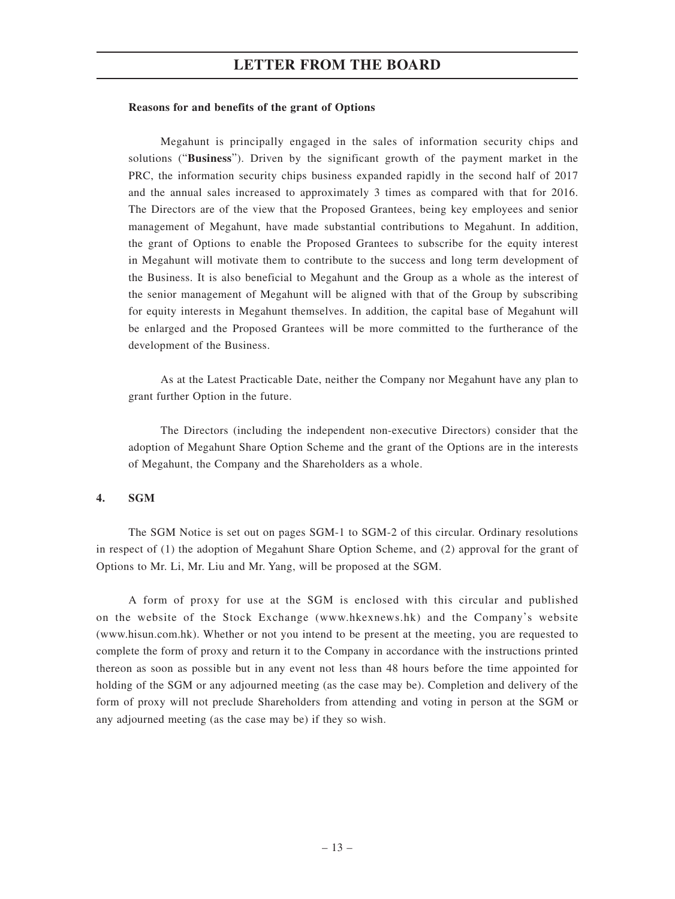#### **Reasons for and benefits of the grant of Options**

Megahunt is principally engaged in the sales of information security chips and solutions ("**Business**"). Driven by the significant growth of the payment market in the PRC, the information security chips business expanded rapidly in the second half of 2017 and the annual sales increased to approximately 3 times as compared with that for 2016. The Directors are of the view that the Proposed Grantees, being key employees and senior management of Megahunt, have made substantial contributions to Megahunt. In addition, the grant of Options to enable the Proposed Grantees to subscribe for the equity interest in Megahunt will motivate them to contribute to the success and long term development of the Business. It is also beneficial to Megahunt and the Group as a whole as the interest of the senior management of Megahunt will be aligned with that of the Group by subscribing for equity interests in Megahunt themselves. In addition, the capital base of Megahunt will be enlarged and the Proposed Grantees will be more committed to the furtherance of the development of the Business.

As at the Latest Practicable Date, neither the Company nor Megahunt have any plan to grant further Option in the future.

The Directors (including the independent non-executive Directors) consider that the adoption of Megahunt Share Option Scheme and the grant of the Options are in the interests of Megahunt, the Company and the Shareholders as a whole.

#### **4. SGM**

The SGM Notice is set out on pages SGM-1 to SGM-2 of this circular. Ordinary resolutions in respect of (1) the adoption of Megahunt Share Option Scheme, and (2) approval for the grant of Options to Mr. Li, Mr. Liu and Mr. Yang, will be proposed at the SGM.

A form of proxy for use at the SGM is enclosed with this circular and published on the website of the Stock Exchange (www.hkexnews.hk) and the Company's website (www.hisun.com.hk). Whether or not you intend to be present at the meeting, you are requested to complete the form of proxy and return it to the Company in accordance with the instructions printed thereon as soon as possible but in any event not less than 48 hours before the time appointed for holding of the SGM or any adjourned meeting (as the case may be). Completion and delivery of the form of proxy will not preclude Shareholders from attending and voting in person at the SGM or any adjourned meeting (as the case may be) if they so wish.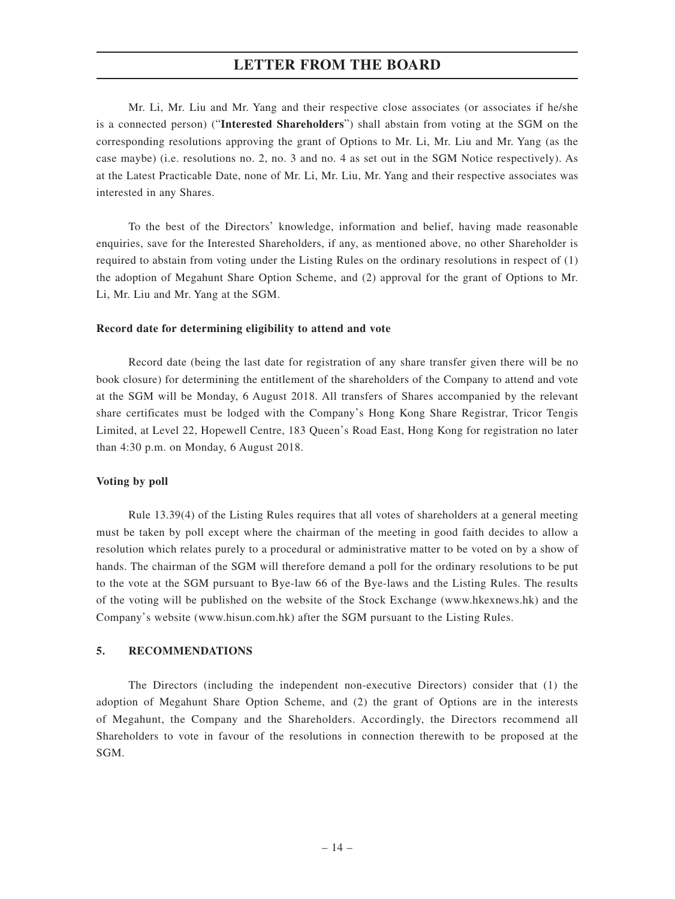Mr. Li, Mr. Liu and Mr. Yang and their respective close associates (or associates if he/she is a connected person) ("**Interested Shareholders**") shall abstain from voting at the SGM on the corresponding resolutions approving the grant of Options to Mr. Li, Mr. Liu and Mr. Yang (as the case maybe) (i.e. resolutions no. 2, no. 3 and no. 4 as set out in the SGM Notice respectively). As at the Latest Practicable Date, none of Mr. Li, Mr. Liu, Mr. Yang and their respective associates was interested in any Shares.

To the best of the Directors' knowledge, information and belief, having made reasonable enquiries, save for the Interested Shareholders, if any, as mentioned above, no other Shareholder is required to abstain from voting under the Listing Rules on the ordinary resolutions in respect of (1) the adoption of Megahunt Share Option Scheme, and (2) approval for the grant of Options to Mr. Li, Mr. Liu and Mr. Yang at the SGM.

#### **Record date for determining eligibility to attend and vote**

Record date (being the last date for registration of any share transfer given there will be no book closure) for determining the entitlement of the shareholders of the Company to attend and vote at the SGM will be Monday, 6 August 2018. All transfers of Shares accompanied by the relevant share certificates must be lodged with the Company's Hong Kong Share Registrar, Tricor Tengis Limited, at Level 22, Hopewell Centre, 183 Queen's Road East, Hong Kong for registration no later than 4:30 p.m. on Monday, 6 August 2018.

#### **Voting by poll**

Rule 13.39(4) of the Listing Rules requires that all votes of shareholders at a general meeting must be taken by poll except where the chairman of the meeting in good faith decides to allow a resolution which relates purely to a procedural or administrative matter to be voted on by a show of hands. The chairman of the SGM will therefore demand a poll for the ordinary resolutions to be put to the vote at the SGM pursuant to Bye-law 66 of the Bye-laws and the Listing Rules. The results of the voting will be published on the website of the Stock Exchange (www.hkexnews.hk) and the Company's website (www.hisun.com.hk) after the SGM pursuant to the Listing Rules.

#### **5. RECOMMENDATIONS**

The Directors (including the independent non-executive Directors) consider that (1) the adoption of Megahunt Share Option Scheme, and (2) the grant of Options are in the interests of Megahunt, the Company and the Shareholders. Accordingly, the Directors recommend all Shareholders to vote in favour of the resolutions in connection therewith to be proposed at the SGM.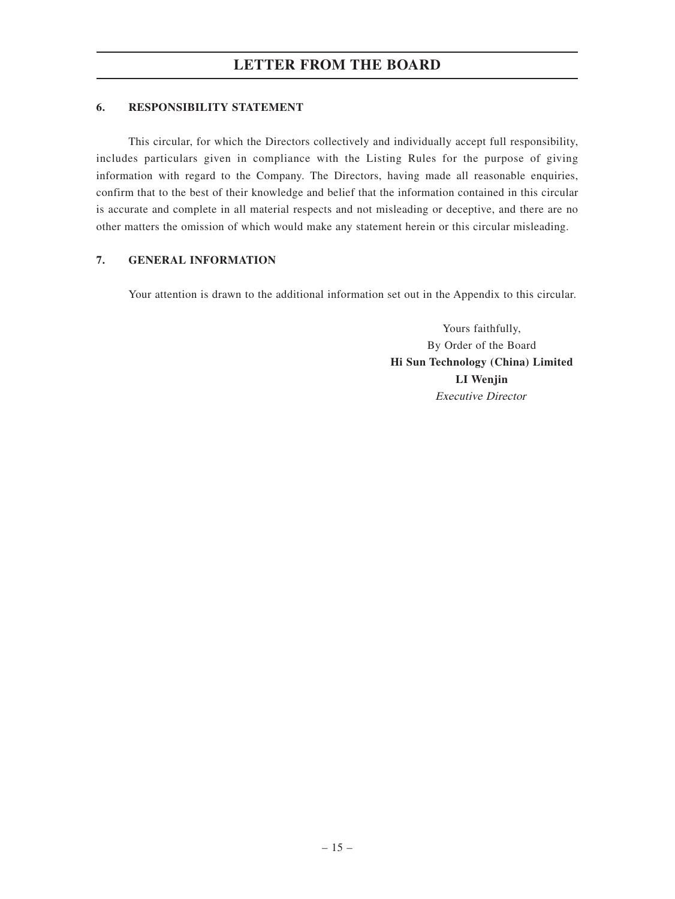### **6. RESPONSIBILITY STATEMENT**

This circular, for which the Directors collectively and individually accept full responsibility, includes particulars given in compliance with the Listing Rules for the purpose of giving information with regard to the Company. The Directors, having made all reasonable enquiries, confirm that to the best of their knowledge and belief that the information contained in this circular is accurate and complete in all material respects and not misleading or deceptive, and there are no other matters the omission of which would make any statement herein or this circular misleading.

### **7. GENERAL INFORMATION**

Your attention is drawn to the additional information set out in the Appendix to this circular.

Yours faithfully, By Order of the Board **Hi Sun Technology (China) Limited LI Wenjin** Executive Director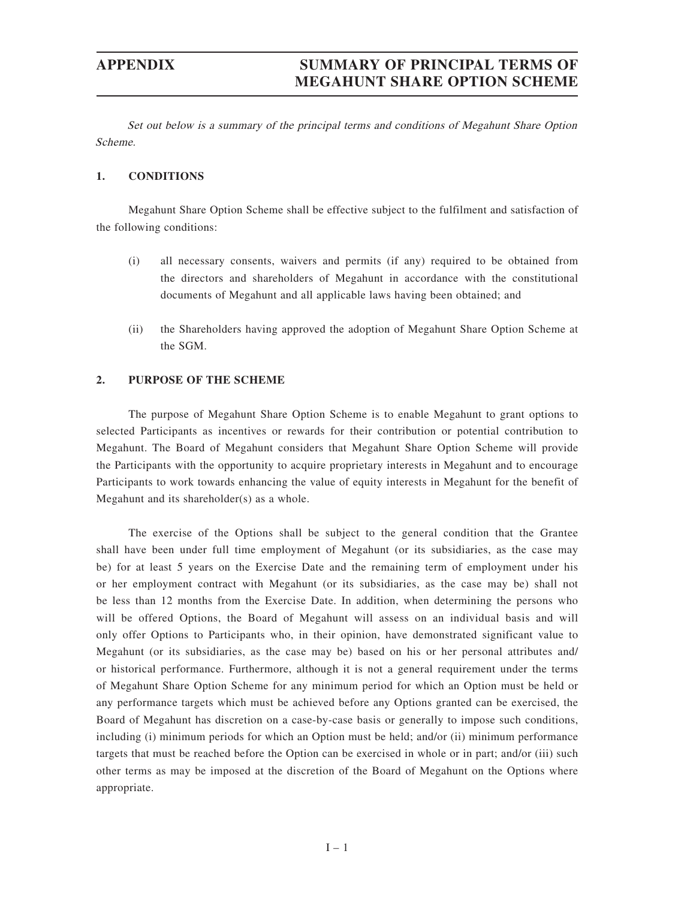# **APPENDIX SUMMARY OF PRINCIPAL TERMS OF MEGAHUNT SHARE OPTION SCHEME**

Set out below is a summary of the principal terms and conditions of Megahunt Share Option Scheme.

#### **1. CONDITIONS**

Megahunt Share Option Scheme shall be effective subject to the fulfilment and satisfaction of the following conditions:

- (i) all necessary consents, waivers and permits (if any) required to be obtained from the directors and shareholders of Megahunt in accordance with the constitutional documents of Megahunt and all applicable laws having been obtained; and
- (ii) the Shareholders having approved the adoption of Megahunt Share Option Scheme at the SGM.

#### **2. PURPOSE OF THE SCHEME**

The purpose of Megahunt Share Option Scheme is to enable Megahunt to grant options to selected Participants as incentives or rewards for their contribution or potential contribution to Megahunt. The Board of Megahunt considers that Megahunt Share Option Scheme will provide the Participants with the opportunity to acquire proprietary interests in Megahunt and to encourage Participants to work towards enhancing the value of equity interests in Megahunt for the benefit of Megahunt and its shareholder(s) as a whole.

The exercise of the Options shall be subject to the general condition that the Grantee shall have been under full time employment of Megahunt (or its subsidiaries, as the case may be) for at least 5 years on the Exercise Date and the remaining term of employment under his or her employment contract with Megahunt (or its subsidiaries, as the case may be) shall not be less than 12 months from the Exercise Date. In addition, when determining the persons who will be offered Options, the Board of Megahunt will assess on an individual basis and will only offer Options to Participants who, in their opinion, have demonstrated significant value to Megahunt (or its subsidiaries, as the case may be) based on his or her personal attributes and/ or historical performance. Furthermore, although it is not a general requirement under the terms of Megahunt Share Option Scheme for any minimum period for which an Option must be held or any performance targets which must be achieved before any Options granted can be exercised, the Board of Megahunt has discretion on a case-by-case basis or generally to impose such conditions, including (i) minimum periods for which an Option must be held; and/or (ii) minimum performance targets that must be reached before the Option can be exercised in whole or in part; and/or (iii) such other terms as may be imposed at the discretion of the Board of Megahunt on the Options where appropriate.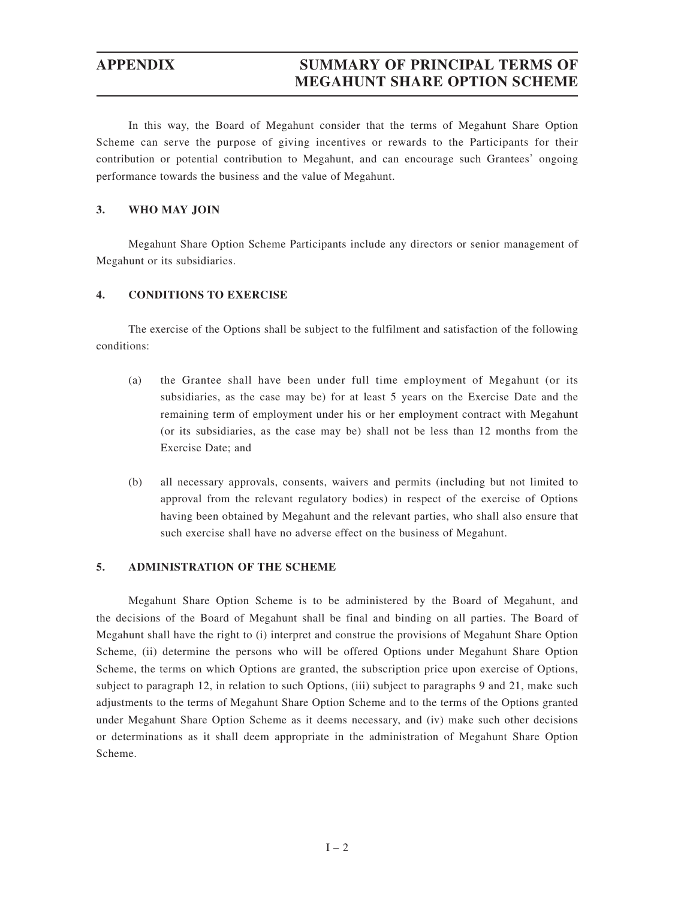# **APPENDIX SUMMARY OF PRINCIPAL TERMS OF MEGAHUNT SHARE OPTION SCHEME**

In this way, the Board of Megahunt consider that the terms of Megahunt Share Option Scheme can serve the purpose of giving incentives or rewards to the Participants for their contribution or potential contribution to Megahunt, and can encourage such Grantees' ongoing performance towards the business and the value of Megahunt.

#### **3. WHO MAY JOIN**

Megahunt Share Option Scheme Participants include any directors or senior management of Megahunt or its subsidiaries.

#### **4. CONDITIONS TO EXERCISE**

The exercise of the Options shall be subject to the fulfilment and satisfaction of the following conditions:

- (a) the Grantee shall have been under full time employment of Megahunt (or its subsidiaries, as the case may be) for at least 5 years on the Exercise Date and the remaining term of employment under his or her employment contract with Megahunt (or its subsidiaries, as the case may be) shall not be less than 12 months from the Exercise Date; and
- (b) all necessary approvals, consents, waivers and permits (including but not limited to approval from the relevant regulatory bodies) in respect of the exercise of Options having been obtained by Megahunt and the relevant parties, who shall also ensure that such exercise shall have no adverse effect on the business of Megahunt.

#### **5. ADMINISTRATION OF THE SCHEME**

Megahunt Share Option Scheme is to be administered by the Board of Megahunt, and the decisions of the Board of Megahunt shall be final and binding on all parties. The Board of Megahunt shall have the right to (i) interpret and construe the provisions of Megahunt Share Option Scheme, (ii) determine the persons who will be offered Options under Megahunt Share Option Scheme, the terms on which Options are granted, the subscription price upon exercise of Options, subject to paragraph 12, in relation to such Options, (iii) subject to paragraphs 9 and 21, make such adjustments to the terms of Megahunt Share Option Scheme and to the terms of the Options granted under Megahunt Share Option Scheme as it deems necessary, and (iv) make such other decisions or determinations as it shall deem appropriate in the administration of Megahunt Share Option Scheme.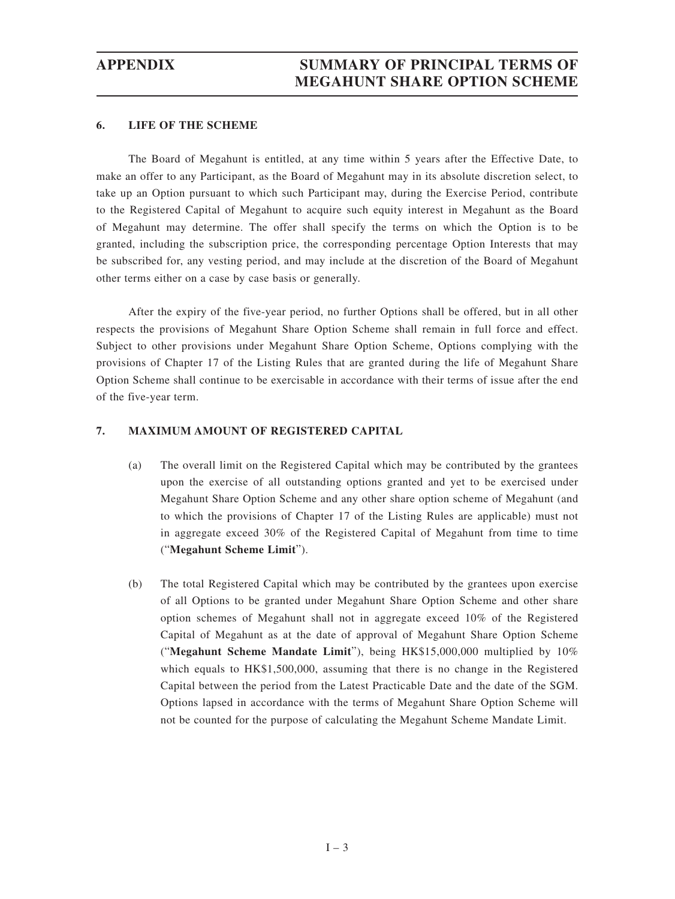### **6. LIFE OF THE SCHEME**

The Board of Megahunt is entitled, at any time within 5 years after the Effective Date, to make an offer to any Participant, as the Board of Megahunt may in its absolute discretion select, to take up an Option pursuant to which such Participant may, during the Exercise Period, contribute to the Registered Capital of Megahunt to acquire such equity interest in Megahunt as the Board of Megahunt may determine. The offer shall specify the terms on which the Option is to be granted, including the subscription price, the corresponding percentage Option Interests that may be subscribed for, any vesting period, and may include at the discretion of the Board of Megahunt other terms either on a case by case basis or generally.

After the expiry of the five-year period, no further Options shall be offered, but in all other respects the provisions of Megahunt Share Option Scheme shall remain in full force and effect. Subject to other provisions under Megahunt Share Option Scheme, Options complying with the provisions of Chapter 17 of the Listing Rules that are granted during the life of Megahunt Share Option Scheme shall continue to be exercisable in accordance with their terms of issue after the end of the five-year term.

### **7. MAXIMUM AMOUNT OF REGISTERED CAPITAL**

- (a) The overall limit on the Registered Capital which may be contributed by the grantees upon the exercise of all outstanding options granted and yet to be exercised under Megahunt Share Option Scheme and any other share option scheme of Megahunt (and to which the provisions of Chapter 17 of the Listing Rules are applicable) must not in aggregate exceed 30% of the Registered Capital of Megahunt from time to time ("**Megahunt Scheme Limit**").
- (b) The total Registered Capital which may be contributed by the grantees upon exercise of all Options to be granted under Megahunt Share Option Scheme and other share option schemes of Megahunt shall not in aggregate exceed 10% of the Registered Capital of Megahunt as at the date of approval of Megahunt Share Option Scheme ("**Megahunt Scheme Mandate Limit**"), being HK\$15,000,000 multiplied by 10% which equals to HK\$1,500,000, assuming that there is no change in the Registered Capital between the period from the Latest Practicable Date and the date of the SGM. Options lapsed in accordance with the terms of Megahunt Share Option Scheme will not be counted for the purpose of calculating the Megahunt Scheme Mandate Limit.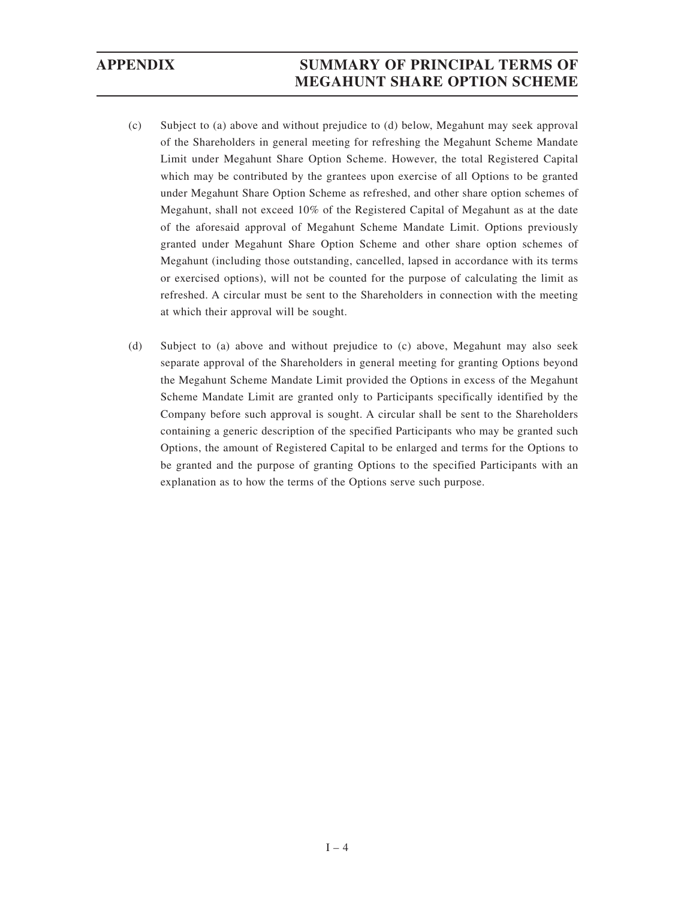# **APPENDIX SUMMARY OF PRINCIPAL TERMS OF MEGAHUNT SHARE OPTION SCHEME**

- (c) Subject to (a) above and without prejudice to (d) below, Megahunt may seek approval of the Shareholders in general meeting for refreshing the Megahunt Scheme Mandate Limit under Megahunt Share Option Scheme. However, the total Registered Capital which may be contributed by the grantees upon exercise of all Options to be granted under Megahunt Share Option Scheme as refreshed, and other share option schemes of Megahunt, shall not exceed 10% of the Registered Capital of Megahunt as at the date of the aforesaid approval of Megahunt Scheme Mandate Limit. Options previously granted under Megahunt Share Option Scheme and other share option schemes of Megahunt (including those outstanding, cancelled, lapsed in accordance with its terms or exercised options), will not be counted for the purpose of calculating the limit as refreshed. A circular must be sent to the Shareholders in connection with the meeting at which their approval will be sought.
- (d) Subject to (a) above and without prejudice to (c) above, Megahunt may also seek separate approval of the Shareholders in general meeting for granting Options beyond the Megahunt Scheme Mandate Limit provided the Options in excess of the Megahunt Scheme Mandate Limit are granted only to Participants specifically identified by the Company before such approval is sought. A circular shall be sent to the Shareholders containing a generic description of the specified Participants who may be granted such Options, the amount of Registered Capital to be enlarged and terms for the Options to be granted and the purpose of granting Options to the specified Participants with an explanation as to how the terms of the Options serve such purpose.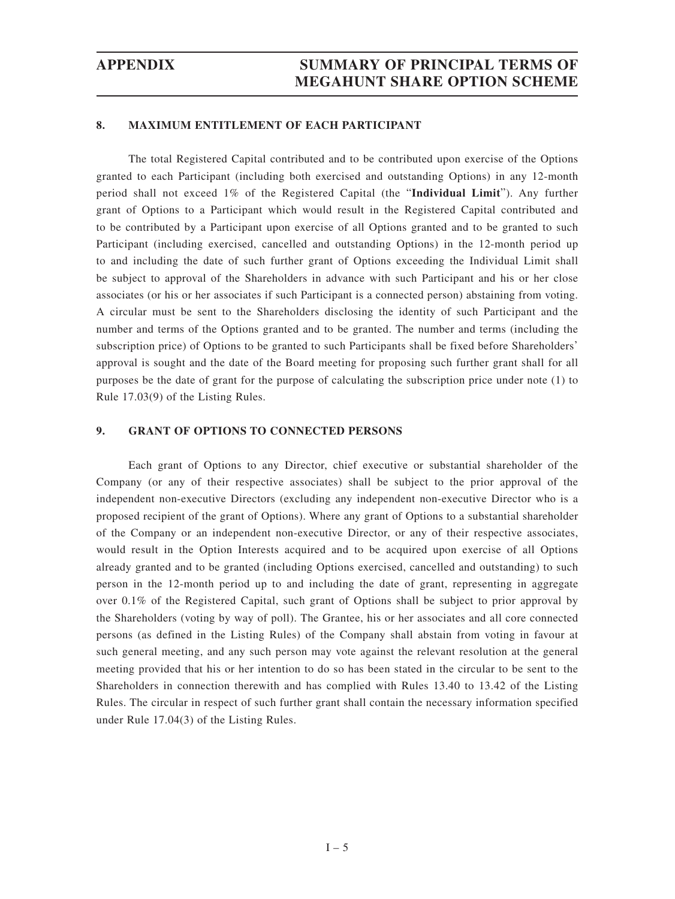#### **8. MAXIMUM ENTITLEMENT OF EACH PARTICIPANT**

The total Registered Capital contributed and to be contributed upon exercise of the Options granted to each Participant (including both exercised and outstanding Options) in any 12-month period shall not exceed 1% of the Registered Capital (the "**Individual Limit**"). Any further grant of Options to a Participant which would result in the Registered Capital contributed and to be contributed by a Participant upon exercise of all Options granted and to be granted to such Participant (including exercised, cancelled and outstanding Options) in the 12-month period up to and including the date of such further grant of Options exceeding the Individual Limit shall be subject to approval of the Shareholders in advance with such Participant and his or her close associates (or his or her associates if such Participant is a connected person) abstaining from voting. A circular must be sent to the Shareholders disclosing the identity of such Participant and the number and terms of the Options granted and to be granted. The number and terms (including the subscription price) of Options to be granted to such Participants shall be fixed before Shareholders' approval is sought and the date of the Board meeting for proposing such further grant shall for all purposes be the date of grant for the purpose of calculating the subscription price under note (1) to Rule 17.03(9) of the Listing Rules.

#### **9. GRANT OF OPTIONS TO CONNECTED PERSONS**

Each grant of Options to any Director, chief executive or substantial shareholder of the Company (or any of their respective associates) shall be subject to the prior approval of the independent non-executive Directors (excluding any independent non-executive Director who is a proposed recipient of the grant of Options). Where any grant of Options to a substantial shareholder of the Company or an independent non-executive Director, or any of their respective associates, would result in the Option Interests acquired and to be acquired upon exercise of all Options already granted and to be granted (including Options exercised, cancelled and outstanding) to such person in the 12-month period up to and including the date of grant, representing in aggregate over 0.1% of the Registered Capital, such grant of Options shall be subject to prior approval by the Shareholders (voting by way of poll). The Grantee, his or her associates and all core connected persons (as defined in the Listing Rules) of the Company shall abstain from voting in favour at such general meeting, and any such person may vote against the relevant resolution at the general meeting provided that his or her intention to do so has been stated in the circular to be sent to the Shareholders in connection therewith and has complied with Rules 13.40 to 13.42 of the Listing Rules. The circular in respect of such further grant shall contain the necessary information specified under Rule 17.04(3) of the Listing Rules.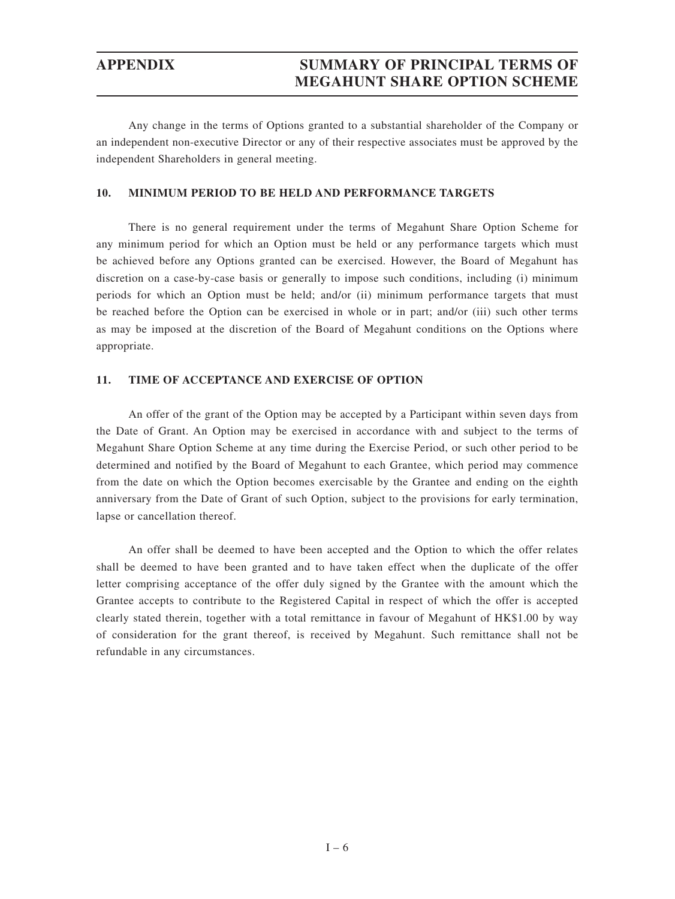Any change in the terms of Options granted to a substantial shareholder of the Company or an independent non-executive Director or any of their respective associates must be approved by the independent Shareholders in general meeting.

#### **10. MINIMUM PERIOD TO BE HELD AND PERFORMANCE TARGETS**

There is no general requirement under the terms of Megahunt Share Option Scheme for any minimum period for which an Option must be held or any performance targets which must be achieved before any Options granted can be exercised. However, the Board of Megahunt has discretion on a case-by-case basis or generally to impose such conditions, including (i) minimum periods for which an Option must be held; and/or (ii) minimum performance targets that must be reached before the Option can be exercised in whole or in part; and/or (iii) such other terms as may be imposed at the discretion of the Board of Megahunt conditions on the Options where appropriate.

#### **11. TIME OF ACCEPTANCE AND EXERCISE OF OPTION**

An offer of the grant of the Option may be accepted by a Participant within seven days from the Date of Grant. An Option may be exercised in accordance with and subject to the terms of Megahunt Share Option Scheme at any time during the Exercise Period, or such other period to be determined and notified by the Board of Megahunt to each Grantee, which period may commence from the date on which the Option becomes exercisable by the Grantee and ending on the eighth anniversary from the Date of Grant of such Option, subject to the provisions for early termination, lapse or cancellation thereof.

An offer shall be deemed to have been accepted and the Option to which the offer relates shall be deemed to have been granted and to have taken effect when the duplicate of the offer letter comprising acceptance of the offer duly signed by the Grantee with the amount which the Grantee accepts to contribute to the Registered Capital in respect of which the offer is accepted clearly stated therein, together with a total remittance in favour of Megahunt of HK\$1.00 by way of consideration for the grant thereof, is received by Megahunt. Such remittance shall not be refundable in any circumstances.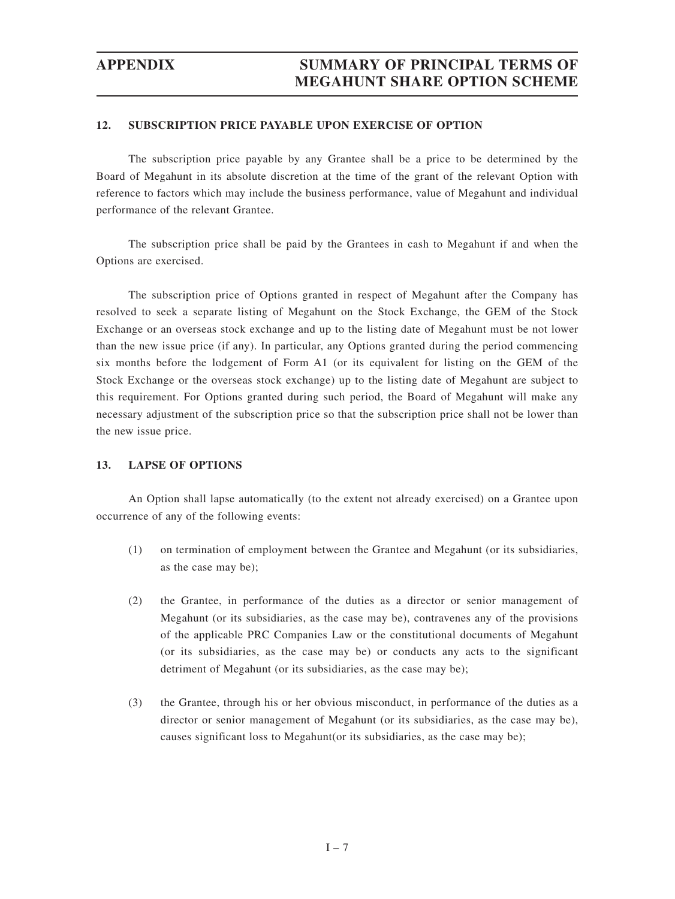## **APPENDIX SUMMARY OF PRINCIPAL TERMS OF MEGAHUNT SHARE OPTION SCHEME**

#### **12. SUBSCRIPTION PRICE PAYABLE UPON EXERCISE OF OPTION**

The subscription price payable by any Grantee shall be a price to be determined by the Board of Megahunt in its absolute discretion at the time of the grant of the relevant Option with reference to factors which may include the business performance, value of Megahunt and individual performance of the relevant Grantee.

The subscription price shall be paid by the Grantees in cash to Megahunt if and when the Options are exercised.

The subscription price of Options granted in respect of Megahunt after the Company has resolved to seek a separate listing of Megahunt on the Stock Exchange, the GEM of the Stock Exchange or an overseas stock exchange and up to the listing date of Megahunt must be not lower than the new issue price (if any). In particular, any Options granted during the period commencing six months before the lodgement of Form A1 (or its equivalent for listing on the GEM of the Stock Exchange or the overseas stock exchange) up to the listing date of Megahunt are subject to this requirement. For Options granted during such period, the Board of Megahunt will make any necessary adjustment of the subscription price so that the subscription price shall not be lower than the new issue price.

#### **13. LAPSE OF OPTIONS**

An Option shall lapse automatically (to the extent not already exercised) on a Grantee upon occurrence of any of the following events:

- (1) on termination of employment between the Grantee and Megahunt (or its subsidiaries, as the case may be);
- (2) the Grantee, in performance of the duties as a director or senior management of Megahunt (or its subsidiaries, as the case may be), contravenes any of the provisions of the applicable PRC Companies Law or the constitutional documents of Megahunt (or its subsidiaries, as the case may be) or conducts any acts to the significant detriment of Megahunt (or its subsidiaries, as the case may be);
- (3) the Grantee, through his or her obvious misconduct, in performance of the duties as a director or senior management of Megahunt (or its subsidiaries, as the case may be), causes significant loss to Megahunt(or its subsidiaries, as the case may be);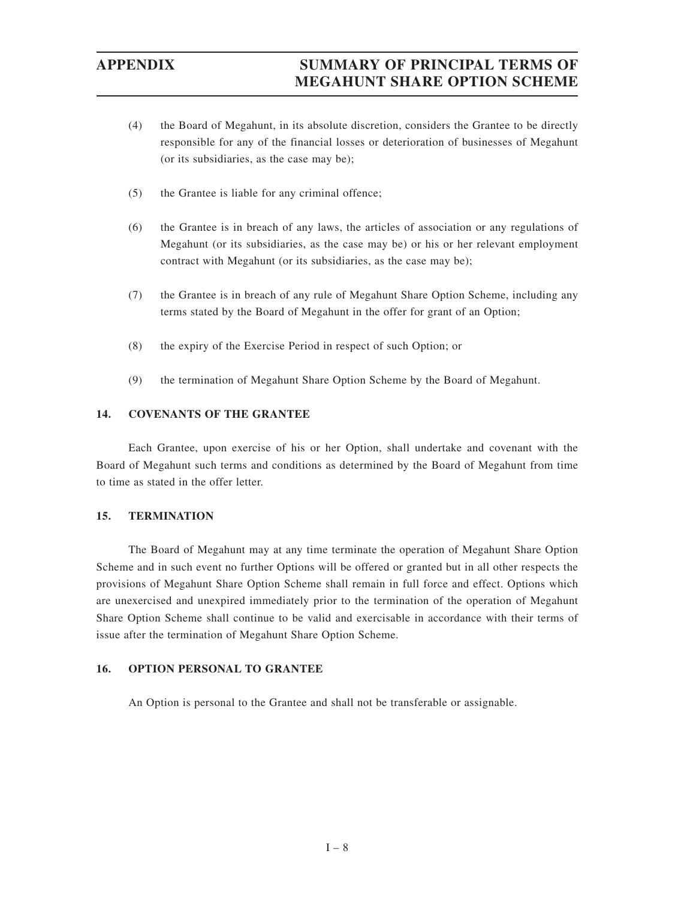# **APPENDIX SUMMARY OF PRINCIPAL TERMS OF MEGAHUNT SHARE OPTION SCHEME**

- (4) the Board of Megahunt, in its absolute discretion, considers the Grantee to be directly responsible for any of the financial losses or deterioration of businesses of Megahunt (or its subsidiaries, as the case may be);
- (5) the Grantee is liable for any criminal offence;
- (6) the Grantee is in breach of any laws, the articles of association or any regulations of Megahunt (or its subsidiaries, as the case may be) or his or her relevant employment contract with Megahunt (or its subsidiaries, as the case may be);
- (7) the Grantee is in breach of any rule of Megahunt Share Option Scheme, including any terms stated by the Board of Megahunt in the offer for grant of an Option;
- (8) the expiry of the Exercise Period in respect of such Option; or
- (9) the termination of Megahunt Share Option Scheme by the Board of Megahunt.

### **14. COVENANTS OF THE GRANTEE**

Each Grantee, upon exercise of his or her Option, shall undertake and covenant with the Board of Megahunt such terms and conditions as determined by the Board of Megahunt from time to time as stated in the offer letter.

#### **15. TERMINATION**

The Board of Megahunt may at any time terminate the operation of Megahunt Share Option Scheme and in such event no further Options will be offered or granted but in all other respects the provisions of Megahunt Share Option Scheme shall remain in full force and effect. Options which are unexercised and unexpired immediately prior to the termination of the operation of Megahunt Share Option Scheme shall continue to be valid and exercisable in accordance with their terms of issue after the termination of Megahunt Share Option Scheme.

#### **16. OPTION PERSONAL TO GRANTEE**

An Option is personal to the Grantee and shall not be transferable or assignable.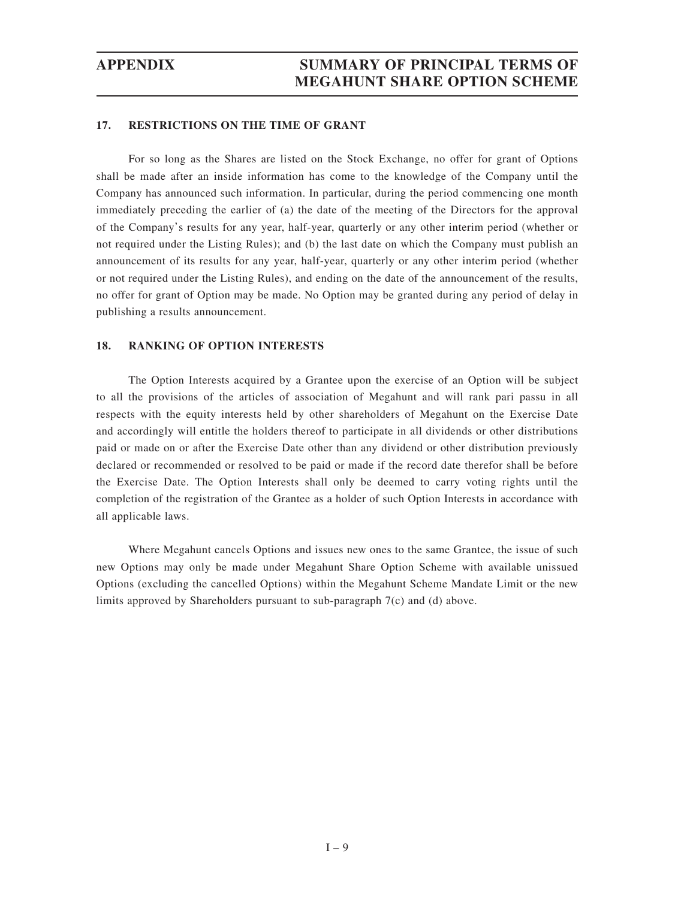#### **17. RESTRICTIONS ON THE TIME OF GRANT**

For so long as the Shares are listed on the Stock Exchange, no offer for grant of Options shall be made after an inside information has come to the knowledge of the Company until the Company has announced such information. In particular, during the period commencing one month immediately preceding the earlier of (a) the date of the meeting of the Directors for the approval of the Company's results for any year, half-year, quarterly or any other interim period (whether or not required under the Listing Rules); and (b) the last date on which the Company must publish an announcement of its results for any year, half-year, quarterly or any other interim period (whether or not required under the Listing Rules), and ending on the date of the announcement of the results, no offer for grant of Option may be made. No Option may be granted during any period of delay in publishing a results announcement.

#### **18. RANKING OF OPTION INTERESTS**

The Option Interests acquired by a Grantee upon the exercise of an Option will be subject to all the provisions of the articles of association of Megahunt and will rank pari passu in all respects with the equity interests held by other shareholders of Megahunt on the Exercise Date and accordingly will entitle the holders thereof to participate in all dividends or other distributions paid or made on or after the Exercise Date other than any dividend or other distribution previously declared or recommended or resolved to be paid or made if the record date therefor shall be before the Exercise Date. The Option Interests shall only be deemed to carry voting rights until the completion of the registration of the Grantee as a holder of such Option Interests in accordance with all applicable laws.

Where Megahunt cancels Options and issues new ones to the same Grantee, the issue of such new Options may only be made under Megahunt Share Option Scheme with available unissued Options (excluding the cancelled Options) within the Megahunt Scheme Mandate Limit or the new limits approved by Shareholders pursuant to sub-paragraph 7(c) and (d) above.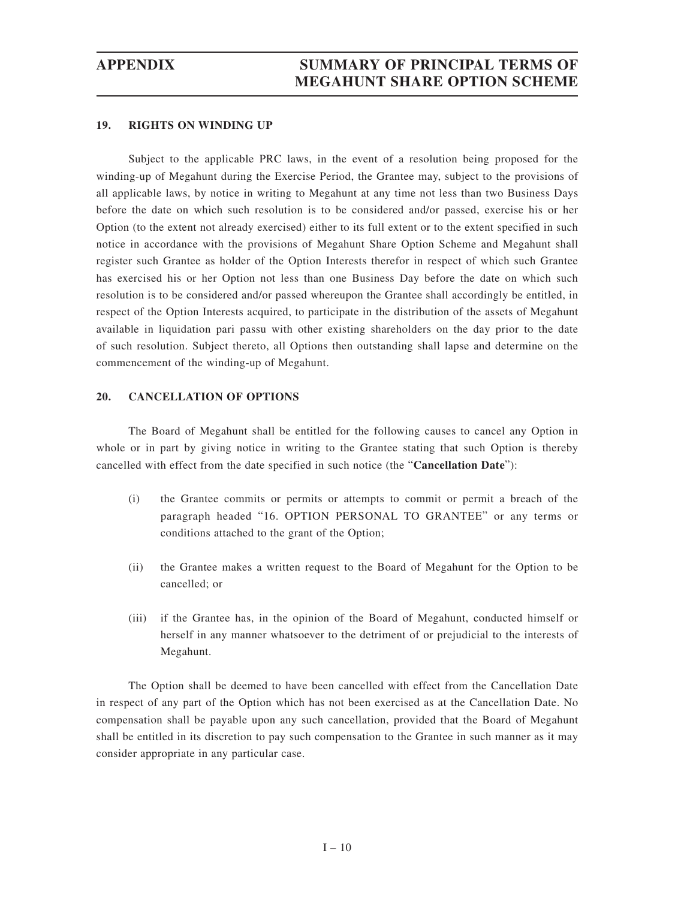#### **19. RIGHTS ON WINDING UP**

Subject to the applicable PRC laws, in the event of a resolution being proposed for the winding-up of Megahunt during the Exercise Period, the Grantee may, subject to the provisions of all applicable laws, by notice in writing to Megahunt at any time not less than two Business Days before the date on which such resolution is to be considered and/or passed, exercise his or her Option (to the extent not already exercised) either to its full extent or to the extent specified in such notice in accordance with the provisions of Megahunt Share Option Scheme and Megahunt shall register such Grantee as holder of the Option Interests therefor in respect of which such Grantee has exercised his or her Option not less than one Business Day before the date on which such resolution is to be considered and/or passed whereupon the Grantee shall accordingly be entitled, in respect of the Option Interests acquired, to participate in the distribution of the assets of Megahunt available in liquidation pari passu with other existing shareholders on the day prior to the date of such resolution. Subject thereto, all Options then outstanding shall lapse and determine on the commencement of the winding-up of Megahunt.

### **20. CANCELLATION OF OPTIONS**

The Board of Megahunt shall be entitled for the following causes to cancel any Option in whole or in part by giving notice in writing to the Grantee stating that such Option is thereby cancelled with effect from the date specified in such notice (the "**Cancellation Date**"):

- (i) the Grantee commits or permits or attempts to commit or permit a breach of the paragraph headed "16. OPTION PERSONAL TO GRANTEE" or any terms or conditions attached to the grant of the Option;
- (ii) the Grantee makes a written request to the Board of Megahunt for the Option to be cancelled; or
- (iii) if the Grantee has, in the opinion of the Board of Megahunt, conducted himself or herself in any manner whatsoever to the detriment of or prejudicial to the interests of Megahunt.

The Option shall be deemed to have been cancelled with effect from the Cancellation Date in respect of any part of the Option which has not been exercised as at the Cancellation Date. No compensation shall be payable upon any such cancellation, provided that the Board of Megahunt shall be entitled in its discretion to pay such compensation to the Grantee in such manner as it may consider appropriate in any particular case.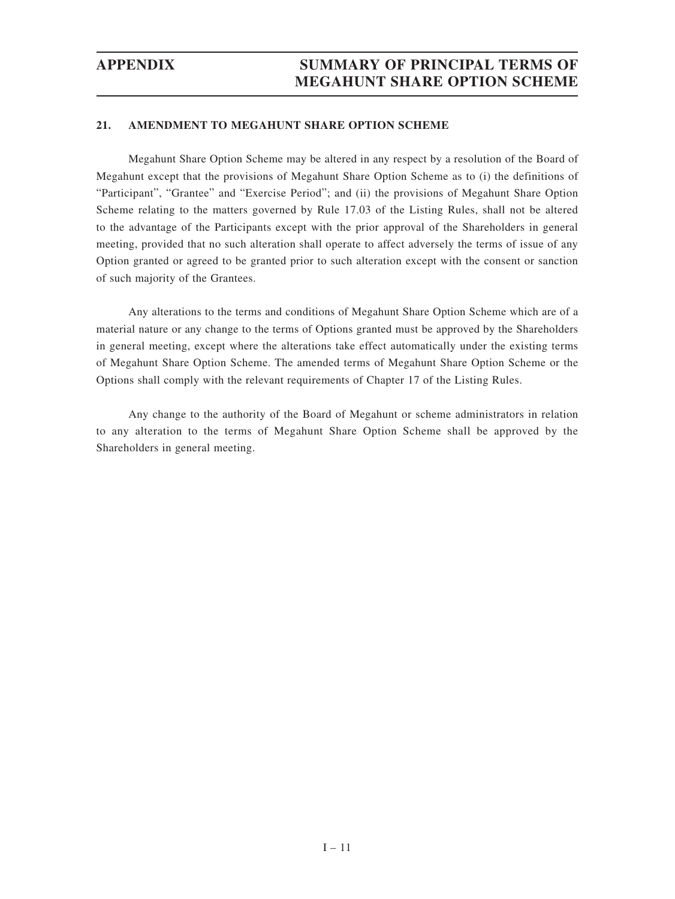### **21. AMENDMENT TO MEGAHUNT SHARE OPTION SCHEME**

Megahunt Share Option Scheme may be altered in any respect by a resolution of the Board of Megahunt except that the provisions of Megahunt Share Option Scheme as to (i) the definitions of "Participant", "Grantee" and "Exercise Period"; and (ii) the provisions of Megahunt Share Option Scheme relating to the matters governed by Rule 17.03 of the Listing Rules, shall not be altered to the advantage of the Participants except with the prior approval of the Shareholders in general meeting, provided that no such alteration shall operate to affect adversely the terms of issue of any Option granted or agreed to be granted prior to such alteration except with the consent or sanction of such majority of the Grantees.

Any alterations to the terms and conditions of Megahunt Share Option Scheme which are of a material nature or any change to the terms of Options granted must be approved by the Shareholders in general meeting, except where the alterations take effect automatically under the existing terms of Megahunt Share Option Scheme. The amended terms of Megahunt Share Option Scheme or the Options shall comply with the relevant requirements of Chapter 17 of the Listing Rules.

Any change to the authority of the Board of Megahunt or scheme administrators in relation to any alteration to the terms of Megahunt Share Option Scheme shall be approved by the Shareholders in general meeting.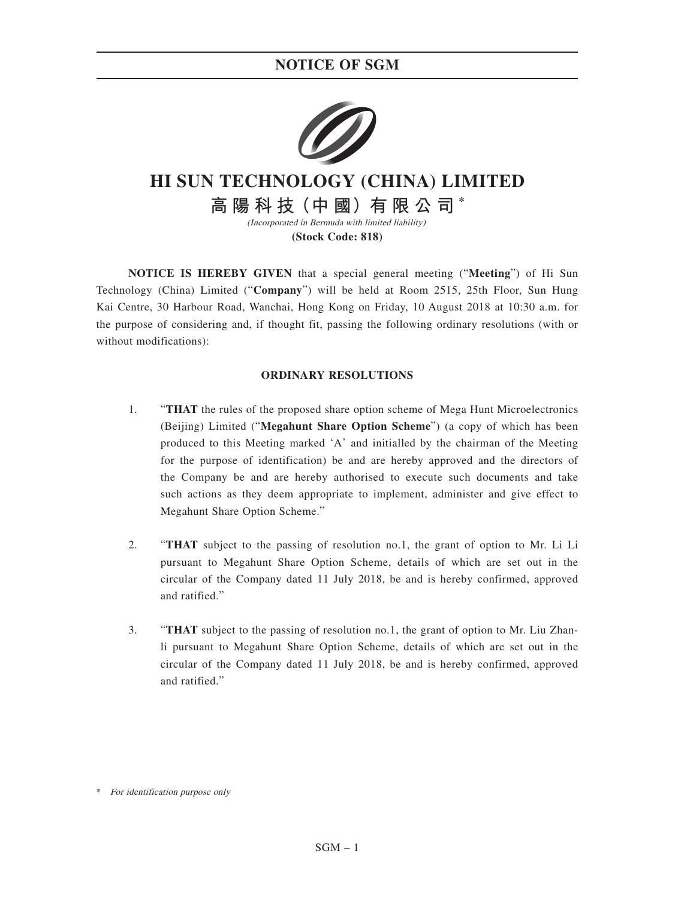## **NOTICE OF SGM**



# **HI SUN TECHNOLOGY (CHINA) LIMITED**

**高 陽 科 技(中 國)有 限 公 司 \*** (Incorporated in Bermuda with limited liability)

**(Stock Code: 818)**

**NOTICE IS HEREBY GIVEN** that a special general meeting ("**Meeting**") of Hi Sun Technology (China) Limited ("**Company**") will be held at Room 2515, 25th Floor, Sun Hung Kai Centre, 30 Harbour Road, Wanchai, Hong Kong on Friday, 10 August 2018 at 10:30 a.m. for the purpose of considering and, if thought fit, passing the following ordinary resolutions (with or without modifications):

### **ORDINARY RESOLUTIONS**

- 1. "**THAT** the rules of the proposed share option scheme of Mega Hunt Microelectronics (Beijing) Limited ("**Megahunt Share Option Scheme**") (a copy of which has been produced to this Meeting marked 'A' and initialled by the chairman of the Meeting for the purpose of identification) be and are hereby approved and the directors of the Company be and are hereby authorised to execute such documents and take such actions as they deem appropriate to implement, administer and give effect to Megahunt Share Option Scheme."
- 2. "**THAT** subject to the passing of resolution no.1, the grant of option to Mr. Li Li pursuant to Megahunt Share Option Scheme, details of which are set out in the circular of the Company dated 11 July 2018, be and is hereby confirmed, approved and ratified."
- 3. "**THAT** subject to the passing of resolution no.1, the grant of option to Mr. Liu Zhanli pursuant to Megahunt Share Option Scheme, details of which are set out in the circular of the Company dated 11 July 2018, be and is hereby confirmed, approved and ratified."

\* For identification purpose only